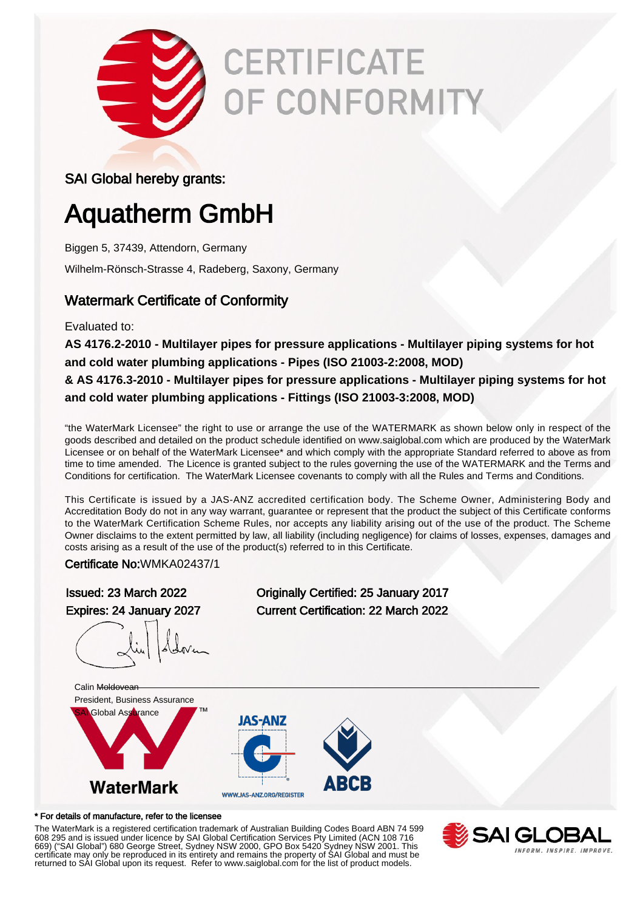

# **CERTIFICATE** OF CONFORMITY

### SAI Global hereby grants:

# Aquatherm GmbH

Biggen 5, 37439, Attendorn, Germany

Wilhelm-Rönsch-Strasse 4, Radeberg, Saxony, Germany

### Watermark Certificate of Conformity

Evaluated to:

**AS 4176.2-2010 - Multilayer pipes for pressure applications - Multilayer piping systems for hot and cold water plumbing applications - Pipes (ISO 21003-2:2008, MOD)**

**& AS 4176.3-2010 - Multilayer pipes for pressure applications - Multilayer piping systems for hot and cold water plumbing applications - Fittings (ISO 21003-3:2008, MOD)**

"the WaterMark Licensee" the right to use or arrange the use of the WATERMARK as shown below only in respect of the goods described and detailed on the product schedule identified on www.saiglobal.com which are produced by the WaterMark Licensee or on behalf of the WaterMark Licensee\* and which comply with the appropriate Standard referred to above as from time to time amended. The Licence is granted subject to the rules governing the use of the WATERMARK and the Terms and Conditions for certification. The WaterMark Licensee covenants to comply with all the Rules and Terms and Conditions.

This Certificate is issued by a JAS-ANZ accredited certification body. The Scheme Owner, Administering Body and Accreditation Body do not in any way warrant, guarantee or represent that the product the subject of this Certificate conforms to the WaterMark Certification Scheme Rules, nor accepts any liability arising out of the use of the product. The Scheme Owner disclaims to the extent permitted by law, all liability (including negligence) for claims of losses, expenses, damages and costs arising as a result of the use of the product(s) referred to in this Certificate.

Certificate No:WMKA02437/1

Issued: 23 March 2022 Originally Certified: 25 January 2017 Expires: 24 January 2027 Current Certification: 22 March 2022 Calin Moldovean President, Business Assurance Global Assurance **IAS-ANZ WaterMark** 

#### \* For details of manufacture, refer to the licensee

The WaterMark is a registered certification trademark of Australian Building Codes Board ABN 74 599 608 295 and is issued under licence by SAI Global Certification Services Pty Limited (ACN 108 716 669) ("SAI Global") 680 George Street, Sydney NSW 2000, GPO Box 5420 Sydney NSW 2001. This certificate may only be reproduced in its entirety and remains the property of SAI Global and must be returned to SAI Global upon its request. Refer to www.saiglobal.com for the list of product models.

WWW.JAS-ANZ.ORG/REGISTER

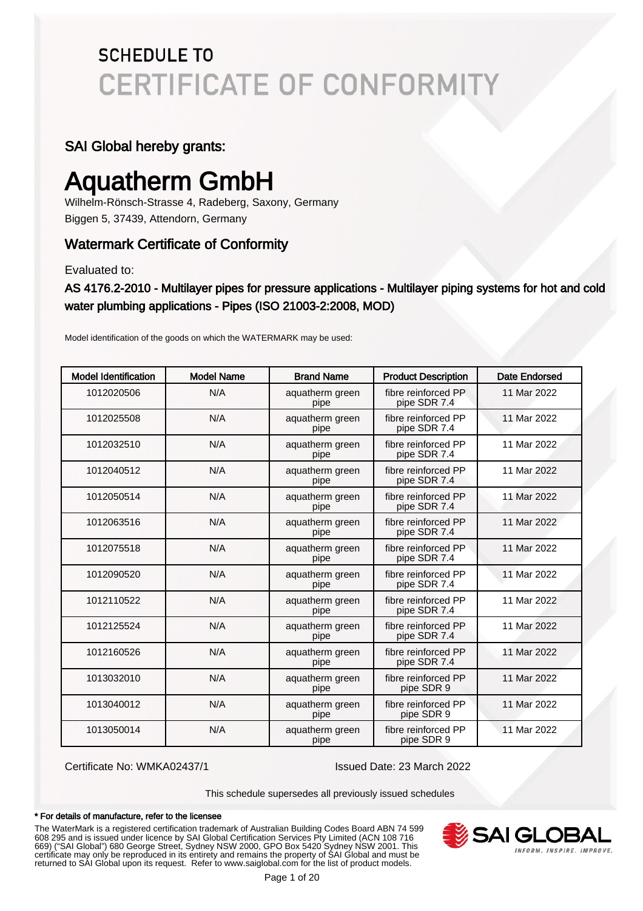### SAI Global hereby grants:

# Aquatherm GmbH

Wilhelm-Rönsch-Strasse 4, Radeberg, Saxony, Germany Biggen 5, 37439, Attendorn, Germany

### Watermark Certificate of Conformity

Evaluated to:

AS 4176.2-2010 - Multilayer pipes for pressure applications - Multilayer piping systems for hot and cold water plumbing applications - Pipes (ISO 21003-2:2008, MOD)

Model identification of the goods on which the WATERMARK may be used:

| <b>Model Identification</b> | <b>Model Name</b> | <b>Brand Name</b>       | <b>Product Description</b>          | Date Endorsed |
|-----------------------------|-------------------|-------------------------|-------------------------------------|---------------|
| 1012020506                  | N/A               | aquatherm green<br>pipe | fibre reinforced PP<br>pipe SDR 7.4 | 11 Mar 2022   |
| 1012025508                  | N/A               | aquatherm green<br>pipe | fibre reinforced PP<br>pipe SDR 7.4 | 11 Mar 2022   |
| 1012032510                  | N/A               | aquatherm green<br>pipe | fibre reinforced PP<br>pipe SDR 7.4 | 11 Mar 2022   |
| 1012040512                  | N/A               | aquatherm green<br>pipe | fibre reinforced PP<br>pipe SDR 7.4 | 11 Mar 2022   |
| 1012050514                  | N/A               | aquatherm green<br>pipe | fibre reinforced PP<br>pipe SDR 7.4 | 11 Mar 2022   |
| 1012063516                  | N/A               | aquatherm green<br>pipe | fibre reinforced PP<br>pipe SDR 7.4 | 11 Mar 2022   |
| 1012075518                  | N/A               | aquatherm green<br>pipe | fibre reinforced PP<br>pipe SDR 7.4 | 11 Mar 2022   |
| 1012090520                  | N/A               | aquatherm green<br>pipe | fibre reinforced PP<br>pipe SDR 7.4 | 11 Mar 2022   |
| 1012110522                  | N/A               | aquatherm green<br>pipe | fibre reinforced PP<br>pipe SDR 7.4 | 11 Mar 2022   |
| 1012125524                  | N/A               | aquatherm green<br>pipe | fibre reinforced PP<br>pipe SDR 7.4 | 11 Mar 2022   |
| 1012160526                  | N/A               | aquatherm green<br>pipe | fibre reinforced PP<br>pipe SDR 7.4 | 11 Mar 2022   |
| 1013032010                  | N/A               | aquatherm green<br>pipe | fibre reinforced PP<br>pipe SDR 9   | 11 Mar 2022   |
| 1013040012                  | N/A               | aquatherm green<br>pipe | fibre reinforced PP<br>pipe SDR 9   | 11 Mar 2022   |
| 1013050014                  | N/A               | aquatherm green<br>pipe | fibre reinforced PP<br>pipe SDR 9   | 11 Mar 2022   |

Certificate No: WMKA02437/1 Issued Date: 23 March 2022

This schedule supersedes all previously issued schedules

#### \* For details of manufacture, refer to the licensee

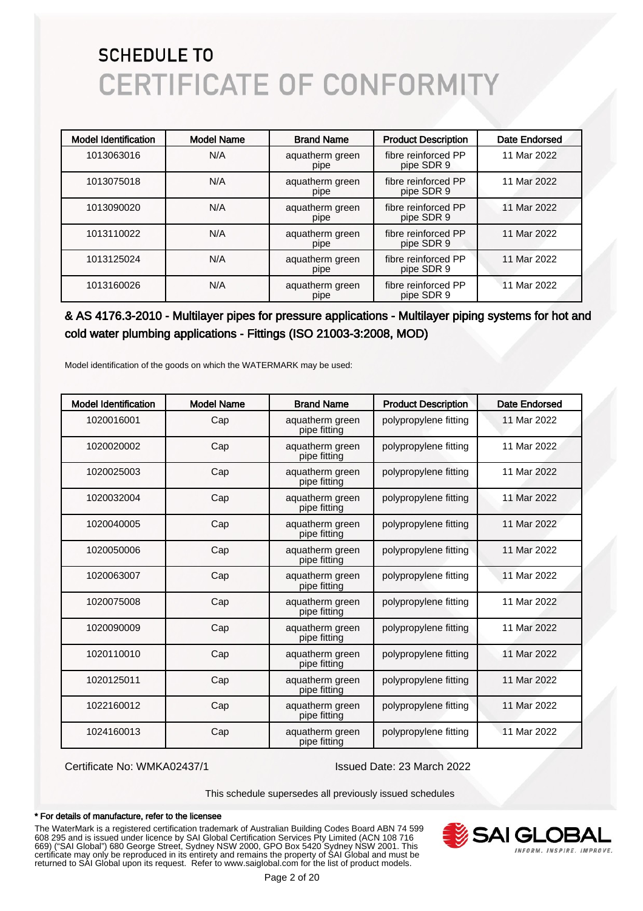| <b>Model Identification</b> | <b>Model Name</b> | <b>Brand Name</b>       | <b>Product Description</b>        | Date Endorsed |
|-----------------------------|-------------------|-------------------------|-----------------------------------|---------------|
| 1013063016                  | N/A               | aquatherm green<br>pipe | fibre reinforced PP<br>pipe SDR 9 | 11 Mar 2022   |
| 1013075018                  | N/A               | aquatherm green<br>pipe | fibre reinforced PP<br>pipe SDR 9 | 11 Mar 2022   |
| 1013090020                  | N/A               | aquatherm green<br>pipe | fibre reinforced PP<br>pipe SDR 9 | 11 Mar 2022   |
| 1013110022                  | N/A               | aquatherm green<br>pipe | fibre reinforced PP<br>pipe SDR 9 | 11 Mar 2022   |
| 1013125024                  | N/A               | aquatherm green<br>pipe | fibre reinforced PP<br>pipe SDR 9 | 11 Mar 2022   |
| 1013160026                  | N/A               | aquatherm green<br>pipe | fibre reinforced PP<br>pipe SDR 9 | 11 Mar 2022   |

### & AS 4176.3-2010 - Multilayer pipes for pressure applications - Multilayer piping systems for hot and cold water plumbing applications - Fittings (ISO 21003-3:2008, MOD)

Model identification of the goods on which the WATERMARK may be used:

| <b>Model Identification</b> | <b>Model Name</b> | <b>Brand Name</b>               | <b>Product Description</b> | Date Endorsed |
|-----------------------------|-------------------|---------------------------------|----------------------------|---------------|
| 1020016001                  | Cap               | aquatherm green<br>pipe fitting | polypropylene fitting      | 11 Mar 2022   |
| 1020020002                  | Cap               | aquatherm green<br>pipe fitting | polypropylene fitting      | 11 Mar 2022   |
| 1020025003                  | Cap               | aquatherm green<br>pipe fitting | polypropylene fitting      | 11 Mar 2022   |
| 1020032004                  | Cap               | aquatherm green<br>pipe fitting | polypropylene fitting      | 11 Mar 2022   |
| 1020040005                  | Cap               | aquatherm green<br>pipe fitting | polypropylene fitting      | 11 Mar 2022   |
| 1020050006                  | Cap               | aquatherm green<br>pipe fitting | polypropylene fitting      | 11 Mar 2022   |
| 1020063007                  | Cap               | aquatherm green<br>pipe fitting | polypropylene fitting      | 11 Mar 2022   |
| 1020075008                  | Cap               | aquatherm green<br>pipe fitting | polypropylene fitting      | 11 Mar 2022   |
| 1020090009                  | Cap               | aquatherm green<br>pipe fitting | polypropylene fitting      | 11 Mar 2022   |
| 1020110010                  | Cap               | aquatherm green<br>pipe fitting | polypropylene fitting      | 11 Mar 2022   |
| 1020125011                  | Cap               | aquatherm green<br>pipe fitting | polypropylene fitting      | 11 Mar 2022   |
| 1022160012                  | Cap               | aquatherm green<br>pipe fitting | polypropylene fitting      | 11 Mar 2022   |
| 1024160013                  | Cap               | aquatherm green<br>pipe fitting | polypropylene fitting      | 11 Mar 2022   |

Certificate No: WMKA02437/1 Issued Date: 23 March 2022

This schedule supersedes all previously issued schedules

#### \* For details of manufacture, refer to the licensee

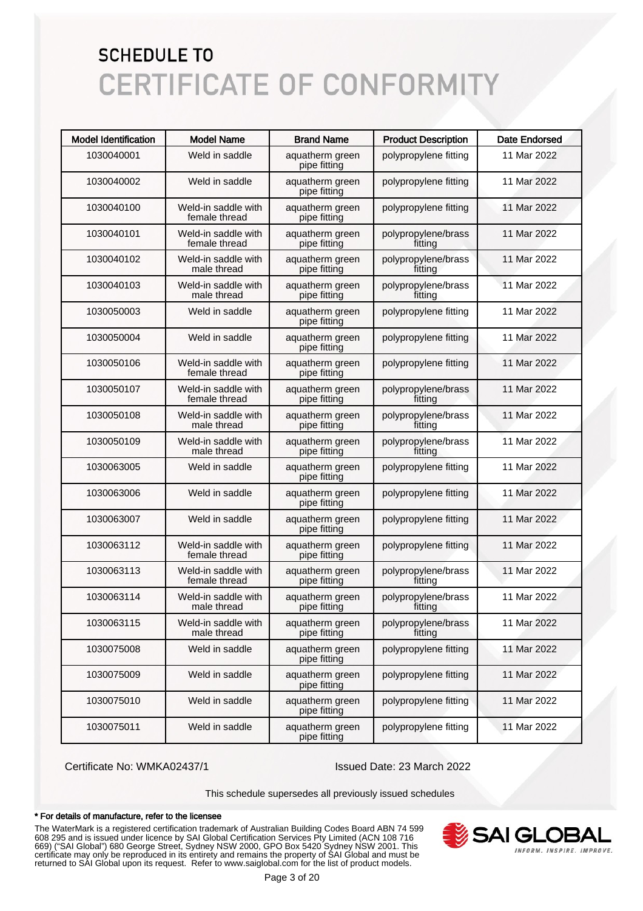| <b>Model Identification</b> | <b>Model Name</b>                    | <b>Brand Name</b>               | <b>Product Description</b>     | <b>Date Endorsed</b> |
|-----------------------------|--------------------------------------|---------------------------------|--------------------------------|----------------------|
| 1030040001                  | Weld in saddle                       | aquatherm green<br>pipe fitting | polypropylene fitting          | 11 Mar 2022          |
| 1030040002                  | Weld in saddle                       | aquatherm green<br>pipe fitting | polypropylene fitting          | 11 Mar 2022          |
| 1030040100                  | Weld-in saddle with<br>female thread | aquatherm green<br>pipe fitting | polypropylene fitting          | 11 Mar 2022          |
| 1030040101                  | Weld-in saddle with<br>female thread | aquatherm green<br>pipe fitting | polypropylene/brass<br>fitting | 11 Mar 2022          |
| 1030040102                  | Weld-in saddle with<br>male thread   | aquatherm green<br>pipe fitting | polypropylene/brass<br>fitting | 11 Mar 2022          |
| 1030040103                  | Weld-in saddle with<br>male thread   | aquatherm green<br>pipe fitting | polypropylene/brass<br>fitting | 11 Mar 2022          |
| 1030050003                  | Weld in saddle                       | aquatherm green<br>pipe fitting | polypropylene fitting          | 11 Mar 2022          |
| 1030050004                  | Weld in saddle                       | aquatherm green<br>pipe fitting | polypropylene fitting          | 11 Mar 2022          |
| 1030050106                  | Weld-in saddle with<br>female thread | aquatherm green<br>pipe fitting | polypropylene fitting          | 11 Mar 2022          |
| 1030050107                  | Weld-in saddle with<br>female thread | aquatherm green<br>pipe fitting | polypropylene/brass<br>fitting | 11 Mar 2022          |
| 1030050108                  | Weld-in saddle with<br>male thread   | aquatherm green<br>pipe fitting | polypropylene/brass<br>fitting | 11 Mar 2022          |
| 1030050109                  | Weld-in saddle with<br>male thread   | aquatherm green<br>pipe fitting | polypropylene/brass<br>fitting | 11 Mar 2022          |
| 1030063005                  | Weld in saddle                       | aquatherm green<br>pipe fitting | polypropylene fitting          | 11 Mar 2022          |
| 1030063006                  | Weld in saddle                       | aquatherm green<br>pipe fitting | polypropylene fitting          | 11 Mar 2022          |
| 1030063007                  | Weld in saddle                       | aquatherm green<br>pipe fitting | polypropylene fitting          | 11 Mar 2022          |
| 1030063112                  | Weld-in saddle with<br>female thread | aquatherm green<br>pipe fitting | polypropylene fitting          | 11 Mar 2022          |
| 1030063113                  | Weld-in saddle with<br>female thread | aquatherm green<br>pipe fitting | polypropylene/brass<br>fitting | 11 Mar 2022          |
| 1030063114                  | Weld-in saddle with<br>male thread   | aquatherm green<br>pipe fitting | polypropylene/brass<br>fitting | 11 Mar 2022          |
| 1030063115                  | Weld-in saddle with<br>male thread   | aquatherm green<br>pipe fitting | polypropylene/brass<br>fitting | 11 Mar 2022          |
| 1030075008                  | Weld in saddle                       | aquatherm green<br>pipe fitting | polypropylene fitting          | 11 Mar 2022          |
| 1030075009                  | Weld in saddle                       | aquatherm green<br>pipe fitting | polypropylene fitting          | 11 Mar 2022          |
| 1030075010                  | Weld in saddle                       | aquatherm green<br>pipe fitting | polypropylene fitting          | 11 Mar 2022          |
| 1030075011                  | Weld in saddle                       | aquatherm green<br>pipe fitting | polypropylene fitting          | 11 Mar 2022          |

Certificate No: WMKA02437/1 Issued Date: 23 March 2022

This schedule supersedes all previously issued schedules

#### \* For details of manufacture, refer to the licensee

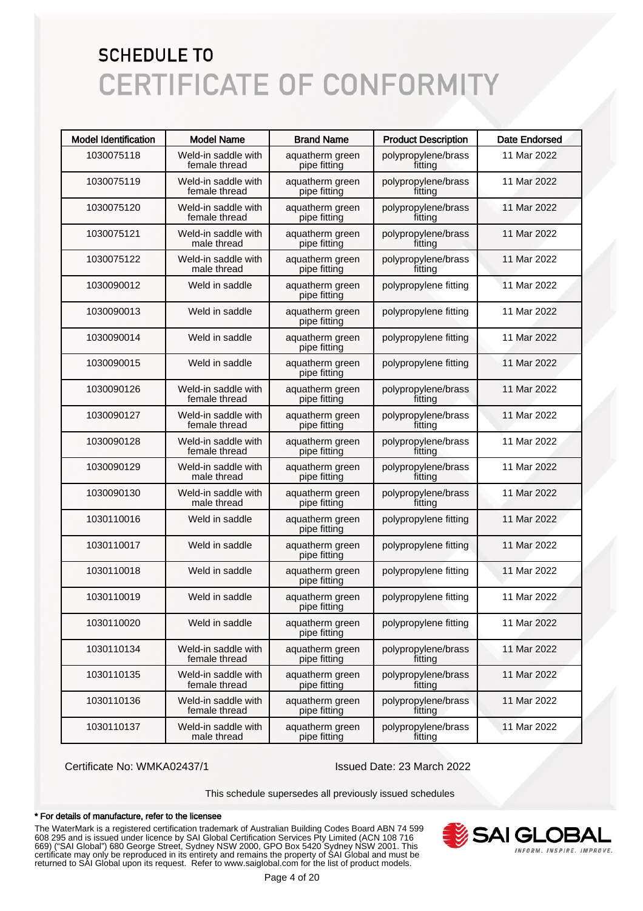| <b>Model Identification</b> | <b>Model Name</b>                    | <b>Brand Name</b>               | <b>Product Description</b>     | <b>Date Endorsed</b> |
|-----------------------------|--------------------------------------|---------------------------------|--------------------------------|----------------------|
| 1030075118                  | Weld-in saddle with<br>female thread | aquatherm green<br>pipe fitting | polypropylene/brass<br>fitting | 11 Mar 2022          |
| 1030075119                  | Weld-in saddle with<br>female thread | aquatherm green<br>pipe fitting | polypropylene/brass<br>fitting | 11 Mar 2022          |
| 1030075120                  | Weld-in saddle with<br>female thread | aquatherm green<br>pipe fitting | polypropylene/brass<br>fitting | 11 Mar 2022          |
| 1030075121                  | Weld-in saddle with<br>male thread   | aquatherm green<br>pipe fitting | polypropylene/brass<br>fitting | 11 Mar 2022          |
| 1030075122                  | Weld-in saddle with<br>male thread   | aquatherm green<br>pipe fitting | polypropylene/brass<br>fitting | 11 Mar 2022          |
| 1030090012                  | Weld in saddle                       | aquatherm green<br>pipe fitting | polypropylene fitting          | 11 Mar 2022          |
| 1030090013                  | Weld in saddle                       | aquatherm green<br>pipe fitting | polypropylene fitting          | 11 Mar 2022          |
| 1030090014                  | Weld in saddle                       | aquatherm green<br>pipe fitting | polypropylene fitting          | 11 Mar 2022          |
| 1030090015                  | Weld in saddle                       | aquatherm green<br>pipe fitting | polypropylene fitting          | 11 Mar 2022          |
| 1030090126                  | Weld-in saddle with<br>female thread | aquatherm green<br>pipe fitting | polypropylene/brass<br>fitting | 11 Mar 2022          |
| 1030090127                  | Weld-in saddle with<br>female thread | aquatherm green<br>pipe fitting | polypropylene/brass<br>fitting | 11 Mar 2022          |
| 1030090128                  | Weld-in saddle with<br>female thread | aquatherm green<br>pipe fitting | polypropylene/brass<br>fitting | 11 Mar 2022          |
| 1030090129                  | Weld-in saddle with<br>male thread   | aquatherm green<br>pipe fitting | polypropylene/brass<br>fitting | 11 Mar 2022          |
| 1030090130                  | Weld-in saddle with<br>male thread   | aquatherm green<br>pipe fitting | polypropylene/brass<br>fitting | 11 Mar 2022          |
| 1030110016                  | Weld in saddle                       | aquatherm green<br>pipe fitting | polypropylene fitting          | 11 Mar 2022          |
| 1030110017                  | Weld in saddle                       | aquatherm green<br>pipe fitting | polypropylene fitting          | 11 Mar 2022          |
| 1030110018                  | Weld in saddle                       | aquatherm green<br>pipe fitting | polypropylene fitting          | 11 Mar 2022          |
| 1030110019                  | Weld in saddle                       | aquatherm green<br>pipe fitting | polypropylene fitting          | 11 Mar 2022          |
| 1030110020                  | Weld in saddle                       | aquatherm green<br>pipe fitting | polypropylene fitting          | 11 Mar 2022          |
| 1030110134                  | Weld-in saddle with<br>female thread | aquatherm green<br>pipe fitting | polypropylene/brass<br>fitting | 11 Mar 2022          |
| 1030110135                  | Weld-in saddle with<br>female thread | aquatherm green<br>pipe fitting | polypropylene/brass<br>fitting | 11 Mar 2022          |
| 1030110136                  | Weld-in saddle with<br>female thread | aquatherm green<br>pipe fitting | polypropylene/brass<br>fitting | 11 Mar 2022          |
| 1030110137                  | Weld-in saddle with<br>male thread   | aquatherm green<br>pipe fitting | polypropylene/brass<br>fitting | 11 Mar 2022          |

Certificate No: WMKA02437/1 Issued Date: 23 March 2022

This schedule supersedes all previously issued schedules

#### \* For details of manufacture, refer to the licensee

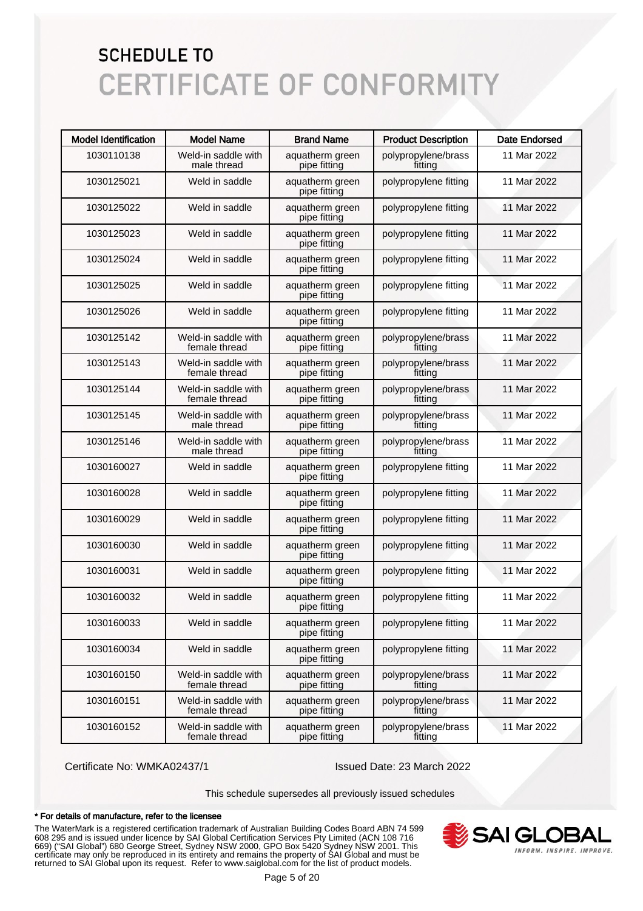| <b>Model Identification</b> | <b>Model Name</b>                    | <b>Brand Name</b>               | <b>Product Description</b>     | <b>Date Endorsed</b> |
|-----------------------------|--------------------------------------|---------------------------------|--------------------------------|----------------------|
| 1030110138                  | Weld-in saddle with<br>male thread   | aquatherm green<br>pipe fitting | polypropylene/brass<br>fitting | 11 Mar 2022          |
| 1030125021                  | Weld in saddle                       | aquatherm green<br>pipe fitting | polypropylene fitting          | 11 Mar 2022          |
| 1030125022                  | Weld in saddle                       | aquatherm green<br>pipe fitting | polypropylene fitting          | 11 Mar 2022          |
| 1030125023                  | Weld in saddle                       | aquatherm green<br>pipe fitting | polypropylene fitting          | 11 Mar 2022          |
| 1030125024                  | Weld in saddle                       | aquatherm green<br>pipe fitting | polypropylene fitting          | 11 Mar 2022          |
| 1030125025                  | Weld in saddle                       | aquatherm green<br>pipe fitting | polypropylene fitting          | 11 Mar 2022          |
| 1030125026                  | Weld in saddle                       | aquatherm green<br>pipe fitting | polypropylene fitting          | 11 Mar 2022          |
| 1030125142                  | Weld-in saddle with<br>female thread | aquatherm green<br>pipe fitting | polypropylene/brass<br>fitting | 11 Mar 2022          |
| 1030125143                  | Weld-in saddle with<br>female thread | aquatherm green<br>pipe fitting | polypropylene/brass<br>fitting | 11 Mar 2022          |
| 1030125144                  | Weld-in saddle with<br>female thread | aquatherm green<br>pipe fitting | polypropylene/brass<br>fitting | 11 Mar 2022          |
| 1030125145                  | Weld-in saddle with<br>male thread   | aquatherm green<br>pipe fitting | polypropylene/brass<br>fitting | 11 Mar 2022          |
| 1030125146                  | Weld-in saddle with<br>male thread   | aquatherm green<br>pipe fitting | polypropylene/brass<br>fitting | 11 Mar 2022          |
| 1030160027                  | Weld in saddle                       | aquatherm green<br>pipe fitting | polypropylene fitting          | 11 Mar 2022          |
| 1030160028                  | Weld in saddle                       | aquatherm green<br>pipe fitting | polypropylene fitting          | 11 Mar 2022          |
| 1030160029                  | Weld in saddle                       | aquatherm green<br>pipe fitting | polypropylene fitting          | 11 Mar 2022          |
| 1030160030                  | Weld in saddle                       | aquatherm green<br>pipe fitting | polypropylene fitting          | 11 Mar 2022          |
| 1030160031                  | Weld in saddle                       | aquatherm green<br>pipe fitting | polypropylene fitting          | 11 Mar 2022          |
| 1030160032                  | Weld in saddle                       | aquatherm green<br>pipe fitting | polypropylene fitting          | 11 Mar 2022          |
| 1030160033                  | Weld in saddle                       | aquatherm green<br>pipe fitting | polypropylene fitting          | 11 Mar 2022          |
| 1030160034                  | Weld in saddle                       | aquatherm green<br>pipe fitting | polypropylene fitting          | 11 Mar 2022          |
| 1030160150                  | Weld-in saddle with<br>female thread | aquatherm green<br>pipe fitting | polypropylene/brass<br>fitting | 11 Mar 2022          |
| 1030160151                  | Weld-in saddle with<br>female thread | aquatherm green<br>pipe fitting | polypropylene/brass<br>fitting | 11 Mar 2022          |
| 1030160152                  | Weld-in saddle with<br>female thread | aquatherm green<br>pipe fitting | polypropylene/brass<br>fitting | 11 Mar 2022          |

Certificate No: WMKA02437/1 Issued Date: 23 March 2022

This schedule supersedes all previously issued schedules

#### \* For details of manufacture, refer to the licensee

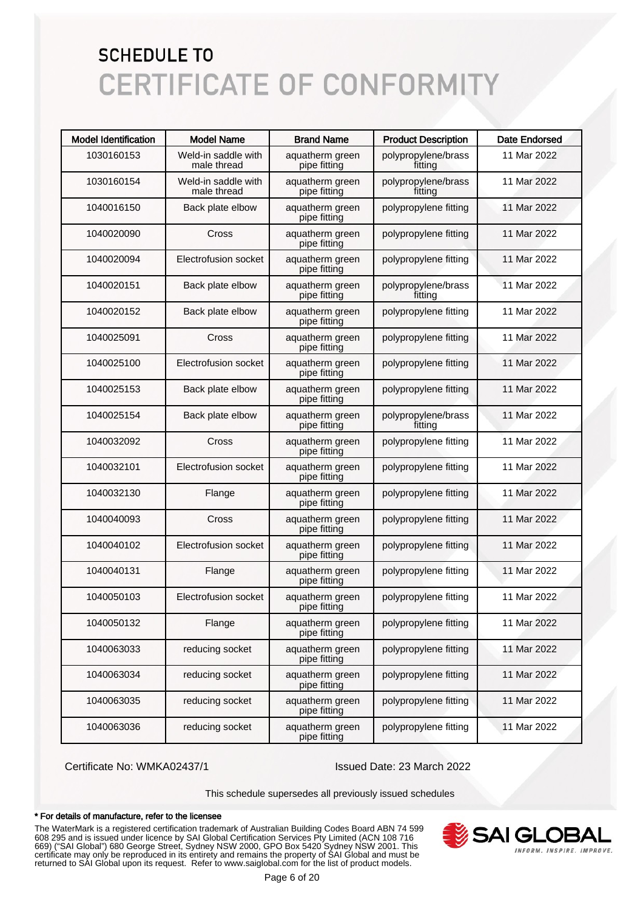| <b>Model Identification</b> | <b>Model Name</b>                  | <b>Brand Name</b>               | <b>Product Description</b>     | <b>Date Endorsed</b> |
|-----------------------------|------------------------------------|---------------------------------|--------------------------------|----------------------|
| 1030160153                  | Weld-in saddle with<br>male thread | aquatherm green<br>pipe fitting | polypropylene/brass<br>fitting | 11 Mar 2022          |
| 1030160154                  | Weld-in saddle with<br>male thread | aquatherm green<br>pipe fitting | polypropylene/brass<br>fitting | 11 Mar 2022          |
| 1040016150                  | Back plate elbow                   | aquatherm green<br>pipe fitting | polypropylene fitting          | 11 Mar 2022          |
| 1040020090                  | Cross                              | aquatherm green<br>pipe fitting | polypropylene fitting          | 11 Mar 2022          |
| 1040020094                  | Electrofusion socket               | aquatherm green<br>pipe fitting | polypropylene fitting          | 11 Mar 2022          |
| 1040020151                  | Back plate elbow                   | aquatherm green<br>pipe fitting | polypropylene/brass<br>fitting | 11 Mar 2022          |
| 1040020152                  | Back plate elbow                   | aquatherm green<br>pipe fitting | polypropylene fitting          | 11 Mar 2022          |
| 1040025091                  | Cross                              | aquatherm green<br>pipe fitting | polypropylene fitting          | 11 Mar 2022          |
| 1040025100                  | Electrofusion socket               | aquatherm green<br>pipe fitting | polypropylene fitting          | 11 Mar 2022          |
| 1040025153                  | Back plate elbow                   | aquatherm green<br>pipe fitting | polypropylene fitting          | 11 Mar 2022          |
| 1040025154                  | Back plate elbow                   | aquatherm green<br>pipe fitting | polypropylene/brass<br>fitting | 11 Mar 2022          |
| 1040032092                  | Cross                              | aquatherm green<br>pipe fitting | polypropylene fitting          | 11 Mar 2022          |
| 1040032101                  | Electrofusion socket               | aquatherm green<br>pipe fitting | polypropylene fitting          | 11 Mar 2022          |
| 1040032130                  | Flange                             | aquatherm green<br>pipe fitting | polypropylene fitting          | 11 Mar 2022          |
| 1040040093                  | Cross                              | aquatherm green<br>pipe fitting | polypropylene fitting          | 11 Mar 2022          |
| 1040040102                  | Electrofusion socket               | aquatherm green<br>pipe fitting | polypropylene fitting          | 11 Mar 2022          |
| 1040040131                  | Flange                             | aquatherm green<br>pipe fitting | polypropylene fitting          | 11 Mar 2022          |
| 1040050103                  | Electrofusion socket               | aquatherm green<br>pipe fitting | polypropylene fitting          | 11 Mar 2022          |
| 1040050132                  | Flange                             | aquatherm green<br>pipe fitting | polypropylene fitting          | 11 Mar 2022          |
| 1040063033                  | reducing socket                    | aquatherm green<br>pipe fitting | polypropylene fitting          | 11 Mar 2022          |
| 1040063034                  | reducing socket                    | aquatherm green<br>pipe fitting | polypropylene fitting          | 11 Mar 2022          |
| 1040063035                  | reducing socket                    | aquatherm green<br>pipe fitting | polypropylene fitting          | 11 Mar 2022          |
| 1040063036                  | reducing socket                    | aquatherm green<br>pipe fitting | polypropylene fitting          | 11 Mar 2022          |

Certificate No: WMKA02437/1 Issued Date: 23 March 2022

This schedule supersedes all previously issued schedules

#### \* For details of manufacture, refer to the licensee

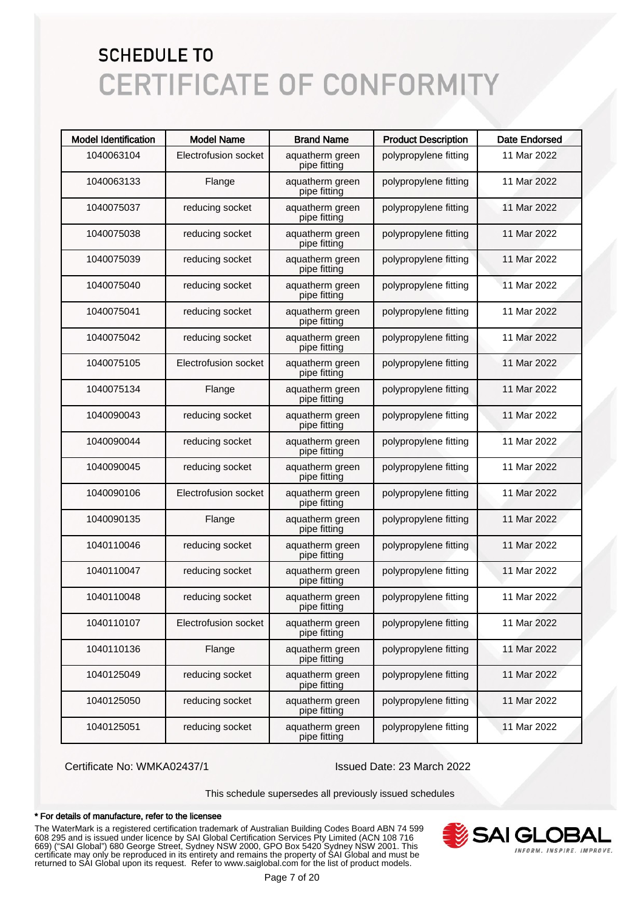| <b>Model Identification</b> | <b>Model Name</b>    | <b>Brand Name</b>               | <b>Product Description</b> | <b>Date Endorsed</b> |
|-----------------------------|----------------------|---------------------------------|----------------------------|----------------------|
| 1040063104                  | Electrofusion socket | aquatherm green<br>pipe fitting | polypropylene fitting      | 11 Mar 2022          |
| 1040063133                  | Flange               | aquatherm green<br>pipe fitting | polypropylene fitting      | 11 Mar 2022          |
| 1040075037                  | reducing socket      | aquatherm green<br>pipe fitting | polypropylene fitting      | 11 Mar 2022          |
| 1040075038                  | reducing socket      | aquatherm green<br>pipe fitting | polypropylene fitting      | 11 Mar 2022          |
| 1040075039                  | reducing socket      | aquatherm green<br>pipe fitting | polypropylene fitting      | 11 Mar 2022          |
| 1040075040                  | reducing socket      | aquatherm green<br>pipe fitting | polypropylene fitting      | 11 Mar 2022          |
| 1040075041                  | reducing socket      | aquatherm green<br>pipe fitting | polypropylene fitting      | 11 Mar 2022          |
| 1040075042                  | reducing socket      | aquatherm green<br>pipe fitting | polypropylene fitting      | 11 Mar 2022          |
| 1040075105                  | Electrofusion socket | aquatherm green<br>pipe fitting | polypropylene fitting      | 11 Mar 2022          |
| 1040075134                  | Flange               | aquatherm green<br>pipe fitting | polypropylene fitting      | 11 Mar 2022          |
| 1040090043                  | reducing socket      | aquatherm green<br>pipe fitting | polypropylene fitting      | 11 Mar 2022          |
| 1040090044                  | reducing socket      | aquatherm green<br>pipe fitting | polypropylene fitting      | 11 Mar 2022          |
| 1040090045                  | reducing socket      | aquatherm green<br>pipe fitting | polypropylene fitting      | 11 Mar 2022          |
| 1040090106                  | Electrofusion socket | aquatherm green<br>pipe fitting | polypropylene fitting      | 11 Mar 2022          |
| 1040090135                  | Flange               | aquatherm green<br>pipe fitting | polypropylene fitting      | 11 Mar 2022          |
| 1040110046                  | reducing socket      | aquatherm green<br>pipe fitting | polypropylene fitting      | 11 Mar 2022          |
| 1040110047                  | reducing socket      | aquatherm green<br>pipe fitting | polypropylene fitting      | 11 Mar 2022          |
| 1040110048                  | reducing socket      | aquatherm green<br>pipe fitting | polypropylene fitting      | 11 Mar 2022          |
| 1040110107                  | Electrofusion socket | aquatherm green<br>pipe fitting | polypropylene fitting      | 11 Mar 2022          |
| 1040110136                  | Flange               | aquatherm green<br>pipe fitting | polypropylene fitting      | 11 Mar 2022          |
| 1040125049                  | reducing socket      | aquatherm green<br>pipe fitting | polypropylene fitting      | 11 Mar 2022          |
| 1040125050                  | reducing socket      | aquatherm green<br>pipe fitting | polypropylene fitting      | 11 Mar 2022          |
| 1040125051                  | reducing socket      | aquatherm green<br>pipe fitting | polypropylene fitting      | 11 Mar 2022          |

Certificate No: WMKA02437/1 Issued Date: 23 March 2022

This schedule supersedes all previously issued schedules

#### \* For details of manufacture, refer to the licensee

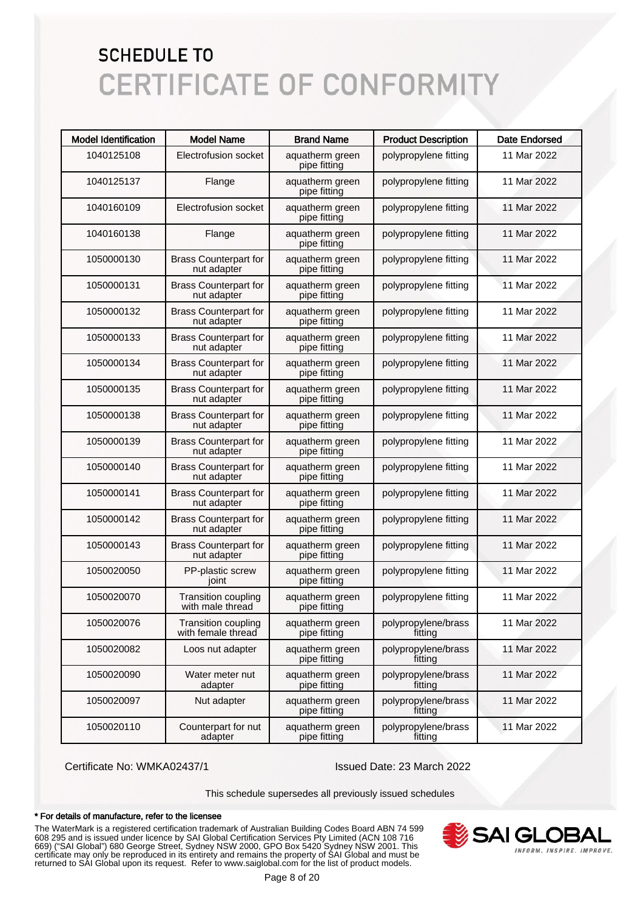| <b>Model Identification</b> | <b>Model Name</b>                                | <b>Brand Name</b>               | <b>Product Description</b>     | <b>Date Endorsed</b> |
|-----------------------------|--------------------------------------------------|---------------------------------|--------------------------------|----------------------|
| 1040125108                  | Electrofusion socket                             | aquatherm green<br>pipe fitting | polypropylene fitting          | 11 Mar 2022          |
| 1040125137                  | Flange                                           | aquatherm green<br>pipe fitting | polypropylene fitting          | 11 Mar 2022          |
| 1040160109                  | Electrofusion socket                             | aquatherm green<br>pipe fitting | polypropylene fitting          | 11 Mar 2022          |
| 1040160138                  | Flange                                           | aquatherm green<br>pipe fitting | polypropylene fitting          | 11 Mar 2022          |
| 1050000130                  | <b>Brass Counterpart for</b><br>nut adapter      | aquatherm green<br>pipe fitting | polypropylene fitting          | 11 Mar 2022          |
| 1050000131                  | <b>Brass Counterpart for</b><br>nut adapter      | aquatherm green<br>pipe fitting | polypropylene fitting          | 11 Mar 2022          |
| 1050000132                  | <b>Brass Counterpart for</b><br>nut adapter      | aquatherm green<br>pipe fitting | polypropylene fitting          | 11 Mar 2022          |
| 1050000133                  | <b>Brass Counterpart for</b><br>nut adapter      | aquatherm green<br>pipe fitting | polypropylene fitting          | 11 Mar 2022          |
| 1050000134                  | <b>Brass Counterpart for</b><br>nut adapter      | aquatherm green<br>pipe fitting | polypropylene fitting          | 11 Mar 2022          |
| 1050000135                  | <b>Brass Counterpart for</b><br>nut adapter      | aquatherm green<br>pipe fitting | polypropylene fitting          | 11 Mar 2022          |
| 1050000138                  | <b>Brass Counterpart for</b><br>nut adapter      | aquatherm green<br>pipe fitting | polypropylene fitting          | 11 Mar 2022          |
| 1050000139                  | <b>Brass Counterpart for</b><br>nut adapter      | aquatherm green<br>pipe fitting | polypropylene fitting          | 11 Mar 2022          |
| 1050000140                  | <b>Brass Counterpart for</b><br>nut adapter      | aquatherm green<br>pipe fitting | polypropylene fitting          | 11 Mar 2022          |
| 1050000141                  | <b>Brass Counterpart for</b><br>nut adapter      | aquatherm green<br>pipe fitting | polypropylene fitting          | 11 Mar 2022          |
| 1050000142                  | <b>Brass Counterpart for</b><br>nut adapter      | aquatherm green<br>pipe fitting | polypropylene fitting          | 11 Mar 2022          |
| 1050000143                  | <b>Brass Counterpart for</b><br>nut adapter      | aquatherm green<br>pipe fitting | polypropylene fitting          | 11 Mar 2022          |
| 1050020050                  | PP-plastic screw<br>joint                        | aquatherm green<br>pipe fitting | polypropylene fitting          | 11 Mar 2022          |
| 1050020070                  | <b>Transition coupling</b><br>with male thread   | aquatherm green<br>pipe fitting | polypropylene fitting          | 11 Mar 2022          |
| 1050020076                  | <b>Transition coupling</b><br>with female thread | aquatherm green<br>pipe fitting | polypropylene/brass<br>fitting | 11 Mar 2022          |
| 1050020082                  | Loos nut adapter                                 | aquatherm green<br>pipe fitting | polypropylene/brass<br>fitting | 11 Mar 2022          |
| 1050020090                  | Water meter nut<br>adapter                       | aquatherm green<br>pipe fitting | polypropylene/brass<br>fitting | 11 Mar 2022          |
| 1050020097                  | Nut adapter                                      | aquatherm green<br>pipe fitting | polypropylene/brass<br>fitting | 11 Mar 2022          |
| 1050020110                  | Counterpart for nut<br>adapter                   | aquatherm green<br>pipe fitting | polypropylene/brass<br>fitting | 11 Mar 2022          |

Certificate No: WMKA02437/1 Issued Date: 23 March 2022

This schedule supersedes all previously issued schedules

#### \* For details of manufacture, refer to the licensee

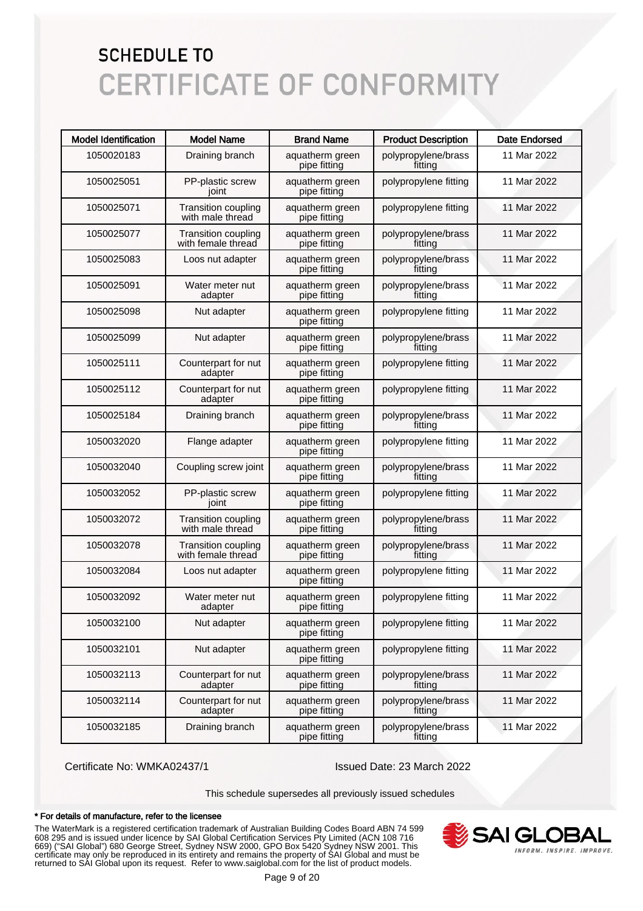| <b>Model Identification</b> | <b>Model Name</b>                                | <b>Brand Name</b>               | <b>Product Description</b>     | <b>Date Endorsed</b> |
|-----------------------------|--------------------------------------------------|---------------------------------|--------------------------------|----------------------|
| 1050020183                  | Draining branch                                  | aquatherm green<br>pipe fitting | polypropylene/brass<br>fitting | 11 Mar 2022          |
| 1050025051                  | PP-plastic screw<br>joint                        | aquatherm green<br>pipe fitting | polypropylene fitting          | 11 Mar 2022          |
| 1050025071                  | <b>Transition coupling</b><br>with male thread   | aquatherm green<br>pipe fitting | polypropylene fitting          | 11 Mar 2022          |
| 1050025077                  | <b>Transition coupling</b><br>with female thread | aquatherm green<br>pipe fitting | polypropylene/brass<br>fitting | 11 Mar 2022          |
| 1050025083                  | Loos nut adapter                                 | aquatherm green<br>pipe fitting | polypropylene/brass<br>fitting | 11 Mar 2022          |
| 1050025091                  | Water meter nut<br>adapter                       | aquatherm green<br>pipe fitting | polypropylene/brass<br>fitting | 11 Mar 2022          |
| 1050025098                  | Nut adapter                                      | aquatherm green<br>pipe fitting | polypropylene fitting          | 11 Mar 2022          |
| 1050025099                  | Nut adapter                                      | aquatherm green<br>pipe fitting | polypropylene/brass<br>fitting | 11 Mar 2022          |
| 1050025111                  | Counterpart for nut<br>adapter                   | aquatherm green<br>pipe fitting | polypropylene fitting          | 11 Mar 2022          |
| 1050025112                  | Counterpart for nut<br>adapter                   | aquatherm green<br>pipe fitting | polypropylene fitting          | 11 Mar 2022          |
| 1050025184                  | Draining branch                                  | aquatherm green<br>pipe fitting | polypropylene/brass<br>fitting | 11 Mar 2022          |
| 1050032020                  | Flange adapter                                   | aquatherm green<br>pipe fitting | polypropylene fitting          | 11 Mar 2022          |
| 1050032040                  | Coupling screw joint                             | aquatherm green<br>pipe fitting | polypropylene/brass<br>fitting | 11 Mar 2022          |
| 1050032052                  | PP-plastic screw<br>joint                        | aquatherm green<br>pipe fitting | polypropylene fitting          | 11 Mar 2022          |
| 1050032072                  | <b>Transition coupling</b><br>with male thread   | aquatherm green<br>pipe fitting | polypropylene/brass<br>fitting | 11 Mar 2022          |
| 1050032078                  | <b>Transition coupling</b><br>with female thread | aquatherm green<br>pipe fitting | polypropylene/brass<br>fitting | 11 Mar 2022          |
| 1050032084                  | Loos nut adapter                                 | aquatherm green<br>pipe fitting | polypropylene fitting          | 11 Mar 2022          |
| 1050032092                  | Water meter nut<br>adapter                       | aquatherm green<br>pipe fitting | polypropylene fitting          | 11 Mar 2022          |
| 1050032100                  | Nut adapter                                      | aquatherm green<br>pipe fitting | polypropylene fitting          | 11 Mar 2022          |
| 1050032101                  | Nut adapter                                      | aquatherm green<br>pipe fitting | polypropylene fitting          | 11 Mar 2022          |
| 1050032113                  | Counterpart for nut<br>adapter                   | aquatherm green<br>pipe fitting | polypropylene/brass<br>fitting | 11 Mar 2022          |
| 1050032114                  | Counterpart for nut<br>adapter                   | aquatherm green<br>pipe fitting | polypropylene/brass<br>fitting | 11 Mar 2022          |
| 1050032185                  | Draining branch                                  | aquatherm green<br>pipe fitting | polypropylene/brass<br>fitting | 11 Mar 2022          |

Certificate No: WMKA02437/1 Issued Date: 23 March 2022

This schedule supersedes all previously issued schedules

#### \* For details of manufacture, refer to the licensee

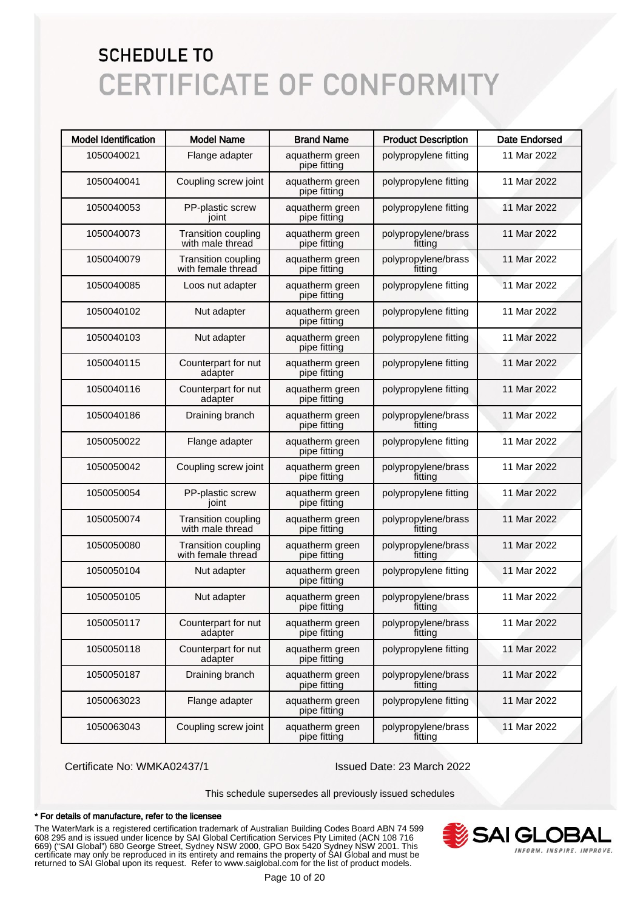| <b>Model Identification</b> | <b>Model Name</b>                                | <b>Brand Name</b>               | <b>Product Description</b>     | <b>Date Endorsed</b> |
|-----------------------------|--------------------------------------------------|---------------------------------|--------------------------------|----------------------|
| 1050040021                  | Flange adapter                                   | aquatherm green<br>pipe fitting | polypropylene fitting          | 11 Mar 2022          |
| 1050040041                  | Coupling screw joint                             | aquatherm green<br>pipe fitting | polypropylene fitting          | 11 Mar 2022          |
| 1050040053                  | PP-plastic screw<br>joint                        | aquatherm green<br>pipe fitting | polypropylene fitting          | 11 Mar 2022          |
| 1050040073                  | <b>Transition coupling</b><br>with male thread   | aquatherm green<br>pipe fitting | polypropylene/brass<br>fittina | 11 Mar 2022          |
| 1050040079                  | <b>Transition coupling</b><br>with female thread | aquatherm green<br>pipe fitting | polypropylene/brass<br>fitting | 11 Mar 2022          |
| 1050040085                  | Loos nut adapter                                 | aquatherm green<br>pipe fitting | polypropylene fitting          | 11 Mar 2022          |
| 1050040102                  | Nut adapter                                      | aquatherm green<br>pipe fitting | polypropylene fitting          | 11 Mar 2022          |
| 1050040103                  | Nut adapter                                      | aquatherm green<br>pipe fitting | polypropylene fitting          | 11 Mar 2022          |
| 1050040115                  | Counterpart for nut<br>adapter                   | aquatherm green<br>pipe fitting | polypropylene fitting          | 11 Mar 2022          |
| 1050040116                  | Counterpart for nut<br>adapter                   | aquatherm green<br>pipe fitting | polypropylene fitting          | 11 Mar 2022          |
| 1050040186                  | Draining branch                                  | aquatherm green<br>pipe fitting | polypropylene/brass<br>fitting | 11 Mar 2022          |
| 1050050022                  | Flange adapter                                   | aquatherm green<br>pipe fitting | polypropylene fitting          | 11 Mar 2022          |
| 1050050042                  | Coupling screw joint                             | aquatherm green<br>pipe fitting | polypropylene/brass<br>fitting | 11 Mar 2022          |
| 1050050054                  | PP-plastic screw<br>joint                        | aquatherm green<br>pipe fitting | polypropylene fitting          | 11 Mar 2022          |
| 1050050074                  | <b>Transition coupling</b><br>with male thread   | aquatherm green<br>pipe fitting | polypropylene/brass<br>fitting | 11 Mar 2022          |
| 1050050080                  | <b>Transition coupling</b><br>with female thread | aquatherm green<br>pipe fitting | polypropylene/brass<br>fitting | 11 Mar 2022          |
| 1050050104                  | Nut adapter                                      | aquatherm green<br>pipe fitting | polypropylene fitting          | 11 Mar 2022          |
| 1050050105                  | Nut adapter                                      | aquatherm green<br>pipe fitting | polypropylene/brass<br>fitting | 11 Mar 2022          |
| 1050050117                  | Counterpart for nut<br>adapter                   | aquatherm green<br>pipe fitting | polypropylene/brass<br>fitting | 11 Mar 2022          |
| 1050050118                  | Counterpart for nut<br>adapter                   | aquatherm green<br>pipe fitting | polypropylene fitting          | 11 Mar 2022          |
| 1050050187                  | Draining branch                                  | aquatherm green<br>pipe fitting | polypropylene/brass<br>fitting | 11 Mar 2022          |
| 1050063023                  | Flange adapter                                   | aquatherm green<br>pipe fitting | polypropylene fitting          | 11 Mar 2022          |
| 1050063043                  | Coupling screw joint                             | aquatherm green<br>pipe fitting | polypropylene/brass<br>fitting | 11 Mar 2022          |

Certificate No: WMKA02437/1 Issued Date: 23 March 2022

This schedule supersedes all previously issued schedules

#### \* For details of manufacture, refer to the licensee

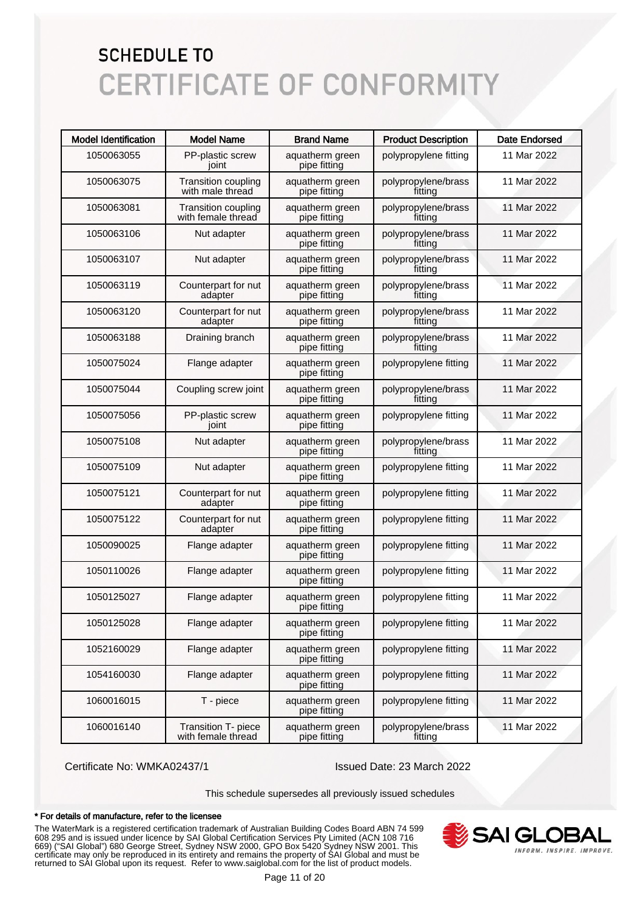| <b>Model Identification</b> | <b>Model Name</b>                                | <b>Brand Name</b>               | <b>Product Description</b>     | <b>Date Endorsed</b> |
|-----------------------------|--------------------------------------------------|---------------------------------|--------------------------------|----------------------|
| 1050063055                  | PP-plastic screw<br>joint                        | aquatherm green<br>pipe fitting | polypropylene fitting          | 11 Mar 2022          |
| 1050063075                  | <b>Transition coupling</b><br>with male thread   | aquatherm green<br>pipe fitting | polypropylene/brass<br>fitting | 11 Mar 2022          |
| 1050063081                  | <b>Transition coupling</b><br>with female thread | aquatherm green<br>pipe fitting | polypropylene/brass<br>fitting | 11 Mar 2022          |
| 1050063106                  | Nut adapter                                      | aquatherm green<br>pipe fitting | polypropylene/brass<br>fitting | 11 Mar 2022          |
| 1050063107                  | Nut adapter                                      | aquatherm green<br>pipe fitting | polypropylene/brass<br>fitting | 11 Mar 2022          |
| 1050063119                  | Counterpart for nut<br>adapter                   | aquatherm green<br>pipe fitting | polypropylene/brass<br>fitting | 11 Mar 2022          |
| 1050063120                  | Counterpart for nut<br>adapter                   | aquatherm green<br>pipe fitting | polypropylene/brass<br>fitting | 11 Mar 2022          |
| 1050063188                  | Draining branch                                  | aquatherm green<br>pipe fitting | polypropylene/brass<br>fitting | 11 Mar 2022          |
| 1050075024                  | Flange adapter                                   | aquatherm green<br>pipe fitting | polypropylene fitting          | 11 Mar 2022          |
| 1050075044                  | Coupling screw joint                             | aquatherm green<br>pipe fitting | polypropylene/brass<br>fitting | 11 Mar 2022          |
| 1050075056                  | PP-plastic screw<br>joint                        | aquatherm green<br>pipe fitting | polypropylene fitting          | 11 Mar 2022          |
| 1050075108                  | Nut adapter                                      | aquatherm green<br>pipe fitting | polypropylene/brass<br>fitting | 11 Mar 2022          |
| 1050075109                  | Nut adapter                                      | aquatherm green<br>pipe fitting | polypropylene fitting          | 11 Mar 2022          |
| 1050075121                  | Counterpart for nut<br>adapter                   | aquatherm green<br>pipe fitting | polypropylene fitting          | 11 Mar 2022          |
| 1050075122                  | Counterpart for nut<br>adapter                   | aquatherm green<br>pipe fitting | polypropylene fitting          | 11 Mar 2022          |
| 1050090025                  | Flange adapter                                   | aquatherm green<br>pipe fitting | polypropylene fitting          | 11 Mar 2022          |
| 1050110026                  | Flange adapter                                   | aquatherm green<br>pipe fitting | polypropylene fitting          | 11 Mar 2022          |
| 1050125027                  | Flange adapter                                   | aquatherm green<br>pipe fitting | polypropylene fitting          | 11 Mar 2022          |
| 1050125028                  | Flange adapter                                   | aquatherm green<br>pipe fitting | polypropylene fitting          | 11 Mar 2022          |
| 1052160029                  | Flange adapter                                   | aquatherm green<br>pipe fitting | polypropylene fitting          | 11 Mar 2022          |
| 1054160030                  | Flange adapter                                   | aquatherm green<br>pipe fitting | polypropylene fitting          | 11 Mar 2022          |
| 1060016015                  | T - piece                                        | aquatherm green<br>pipe fitting | polypropylene fitting          | 11 Mar 2022          |
| 1060016140                  | Transition T- piece<br>with female thread        | aquatherm green<br>pipe fitting | polypropylene/brass<br>fitting | 11 Mar 2022          |

Certificate No: WMKA02437/1 Issued Date: 23 March 2022

This schedule supersedes all previously issued schedules

#### \* For details of manufacture, refer to the licensee

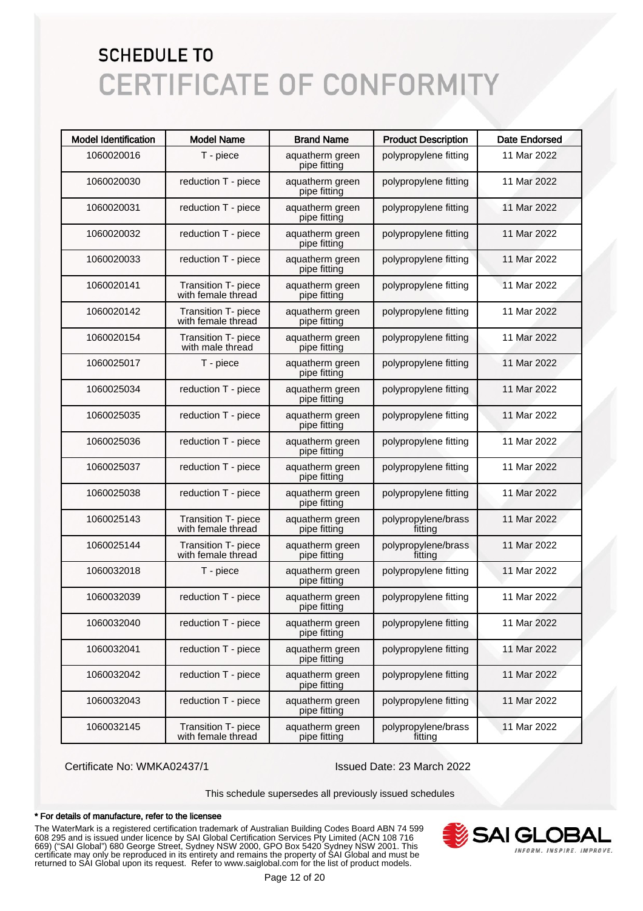| <b>Model Identification</b> | <b>Model Name</b>                         | <b>Brand Name</b>               | <b>Product Description</b>     | <b>Date Endorsed</b> |
|-----------------------------|-------------------------------------------|---------------------------------|--------------------------------|----------------------|
| 1060020016                  | T - piece                                 | aquatherm green<br>pipe fitting | polypropylene fitting          | 11 Mar 2022          |
| 1060020030                  | reduction T - piece                       | aquatherm green<br>pipe fitting | polypropylene fitting          | 11 Mar 2022          |
| 1060020031                  | reduction T - piece                       | aquatherm green<br>pipe fitting | polypropylene fitting          | 11 Mar 2022          |
| 1060020032                  | reduction T - piece                       | aquatherm green<br>pipe fitting | polypropylene fitting          | 11 Mar 2022          |
| 1060020033                  | reduction T - piece                       | aquatherm green<br>pipe fitting | polypropylene fitting          | 11 Mar 2022          |
| 1060020141                  | Transition T- piece<br>with female thread | aquatherm green<br>pipe fitting | polypropylene fitting          | 11 Mar 2022          |
| 1060020142                  | Transition T- piece<br>with female thread | aquatherm green<br>pipe fitting | polypropylene fitting          | 11 Mar 2022          |
| 1060020154                  | Transition T- piece<br>with male thread   | aquatherm green<br>pipe fitting | polypropylene fitting          | 11 Mar 2022          |
| 1060025017                  | T - piece                                 | aquatherm green<br>pipe fitting | polypropylene fitting          | 11 Mar 2022          |
| 1060025034                  | reduction T - piece                       | aquatherm green<br>pipe fitting | polypropylene fitting          | 11 Mar 2022          |
| 1060025035                  | reduction T - piece                       | aquatherm green<br>pipe fitting | polypropylene fitting          | 11 Mar 2022          |
| 1060025036                  | reduction T - piece                       | aquatherm green<br>pipe fitting | polypropylene fitting          | 11 Mar 2022          |
| 1060025037                  | reduction T - piece                       | aquatherm green<br>pipe fitting | polypropylene fitting          | 11 Mar 2022          |
| 1060025038                  | reduction T - piece                       | aquatherm green<br>pipe fitting | polypropylene fitting          | 11 Mar 2022          |
| 1060025143                  | Transition T- piece<br>with female thread | aquatherm green<br>pipe fitting | polypropylene/brass<br>fitting | 11 Mar 2022          |
| 1060025144                  | Transition T- piece<br>with female thread | aquatherm green<br>pipe fitting | polypropylene/brass<br>fitting | 11 Mar 2022          |
| 1060032018                  | T - piece                                 | aquatherm green<br>pipe fitting | polypropylene fitting          | 11 Mar 2022          |
| 1060032039                  | reduction T - piece                       | aquatherm green<br>pipe fitting | polypropylene fitting          | 11 Mar 2022          |
| 1060032040                  | reduction T - piece                       | aquatherm green<br>pipe fitting | polypropylene fitting          | 11 Mar 2022          |
| 1060032041                  | reduction T - piece                       | aquatherm green<br>pipe fitting | polypropylene fitting          | 11 Mar 2022          |
| 1060032042                  | reduction T - piece                       | aquatherm green<br>pipe fitting | polypropylene fitting          | 11 Mar 2022          |
| 1060032043                  | reduction T - piece                       | aquatherm green<br>pipe fitting | polypropylene fitting          | 11 Mar 2022          |
| 1060032145                  | Transition T- piece<br>with female thread | aquatherm green<br>pipe fitting | polypropylene/brass<br>fitting | 11 Mar 2022          |

Certificate No: WMKA02437/1 Issued Date: 23 March 2022

This schedule supersedes all previously issued schedules

#### \* For details of manufacture, refer to the licensee

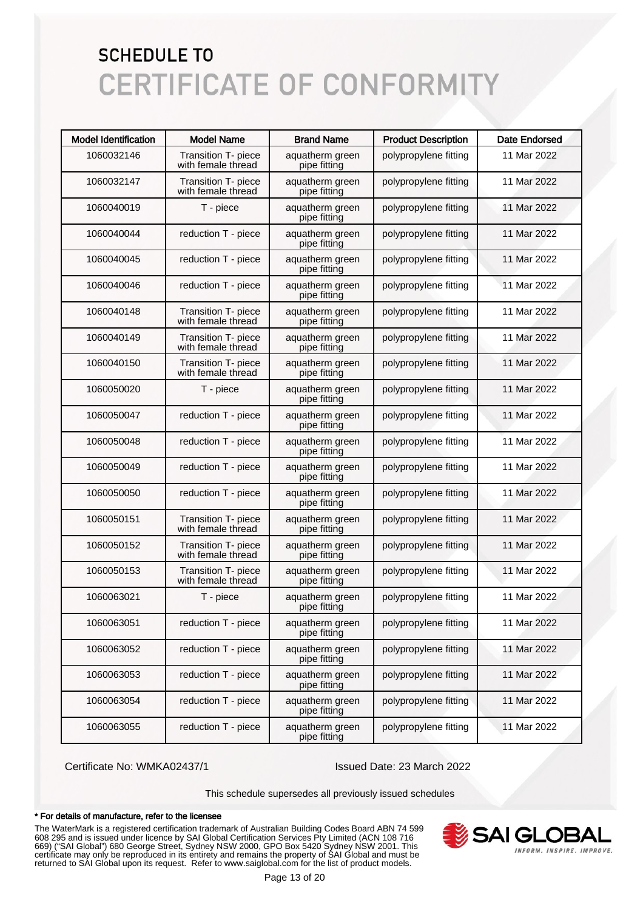| <b>Model Identification</b> | <b>Model Name</b>                         | <b>Brand Name</b>               | <b>Product Description</b> | <b>Date Endorsed</b> |
|-----------------------------|-------------------------------------------|---------------------------------|----------------------------|----------------------|
| 1060032146                  | Transition T- piece<br>with female thread | aquatherm green<br>pipe fitting | polypropylene fitting      | 11 Mar 2022          |
| 1060032147                  | Transition T- piece<br>with female thread | aquatherm green<br>pipe fitting | polypropylene fitting      | 11 Mar 2022          |
| 1060040019                  | T - piece                                 | aquatherm green<br>pipe fitting | polypropylene fitting      | 11 Mar 2022          |
| 1060040044                  | reduction T - piece                       | aquatherm green<br>pipe fitting | polypropylene fitting      | 11 Mar 2022          |
| 1060040045                  | reduction T - piece                       | aquatherm green<br>pipe fitting | polypropylene fitting      | 11 Mar 2022          |
| 1060040046                  | reduction T - piece                       | aquatherm green<br>pipe fitting | polypropylene fitting      | 11 Mar 2022          |
| 1060040148                  | Transition T- piece<br>with female thread | aquatherm green<br>pipe fitting | polypropylene fitting      | 11 Mar 2022          |
| 1060040149                  | Transition T- piece<br>with female thread | aquatherm green<br>pipe fitting | polypropylene fitting      | 11 Mar 2022          |
| 1060040150                  | Transition T- piece<br>with female thread | aquatherm green<br>pipe fitting | polypropylene fitting      | 11 Mar 2022          |
| 1060050020                  | T - piece                                 | aquatherm green<br>pipe fitting | polypropylene fitting      | 11 Mar 2022          |
| 1060050047                  | reduction T - piece                       | aquatherm green<br>pipe fitting | polypropylene fitting      | 11 Mar 2022          |
| 1060050048                  | reduction T - piece                       | aquatherm green<br>pipe fitting | polypropylene fitting      | 11 Mar 2022          |
| 1060050049                  | reduction T - piece                       | aquatherm green<br>pipe fitting | polypropylene fitting      | 11 Mar 2022          |
| 1060050050                  | reduction T - piece                       | aquatherm green<br>pipe fitting | polypropylene fitting      | 11 Mar 2022          |
| 1060050151                  | Transition T- piece<br>with female thread | aquatherm green<br>pipe fitting | polypropylene fitting      | 11 Mar 2022          |
| 1060050152                  | Transition T- piece<br>with female thread | aquatherm green<br>pipe fitting | polypropylene fitting      | 11 Mar 2022          |
| 1060050153                  | Transition T- piece<br>with female thread | aquatherm green<br>pipe fitting | polypropylene fitting      | 11 Mar 2022          |
| 1060063021                  | T - piece                                 | aquatherm green<br>pipe fitting | polypropylene fitting      | 11 Mar 2022          |
| 1060063051                  | reduction T - piece                       | aquatherm green<br>pipe fitting | polypropylene fitting      | 11 Mar 2022          |
| 1060063052                  | reduction T - piece                       | aquatherm green<br>pipe fitting | polypropylene fitting      | 11 Mar 2022          |
| 1060063053                  | reduction T - piece                       | aquatherm green<br>pipe fitting | polypropylene fitting      | 11 Mar 2022          |
| 1060063054                  | reduction T - piece                       | aquatherm green<br>pipe fitting | polypropylene fitting      | 11 Mar 2022          |
| 1060063055                  | reduction T - piece                       | aquatherm green<br>pipe fitting | polypropylene fitting      | 11 Mar 2022          |

Certificate No: WMKA02437/1 Issued Date: 23 March 2022

This schedule supersedes all previously issued schedules

#### \* For details of manufacture, refer to the licensee

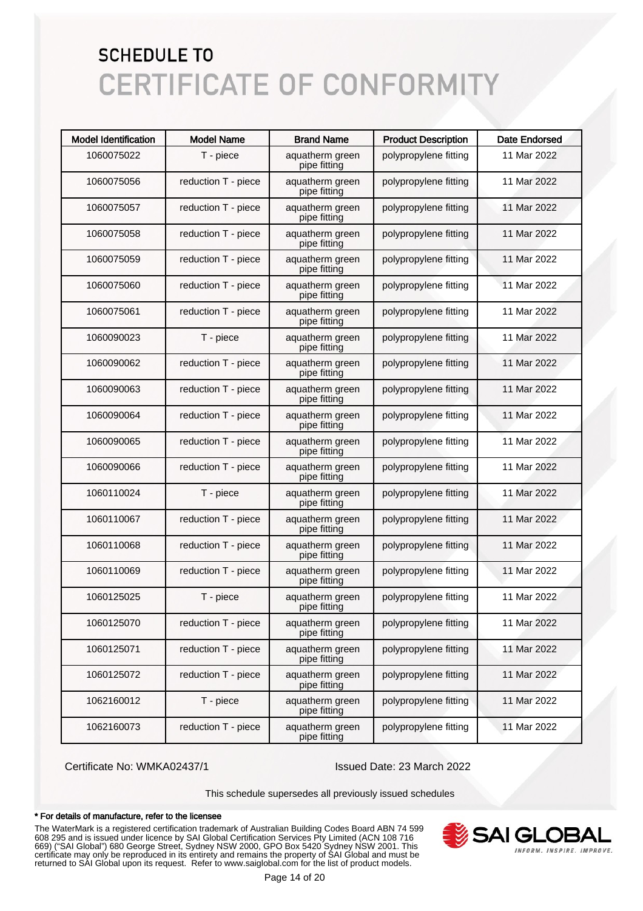| <b>Model Identification</b> | <b>Model Name</b>   | <b>Brand Name</b>               | <b>Product Description</b> | <b>Date Endorsed</b> |
|-----------------------------|---------------------|---------------------------------|----------------------------|----------------------|
| 1060075022                  | T - piece           | aquatherm green<br>pipe fitting | polypropylene fitting      | 11 Mar 2022          |
| 1060075056                  | reduction T - piece | aquatherm green<br>pipe fitting | polypropylene fitting      | 11 Mar 2022          |
| 1060075057                  | reduction T - piece | aquatherm green<br>pipe fitting | polypropylene fitting      | 11 Mar 2022          |
| 1060075058                  | reduction T - piece | aquatherm green<br>pipe fitting | polypropylene fitting      | 11 Mar 2022          |
| 1060075059                  | reduction T - piece | aquatherm green<br>pipe fitting | polypropylene fitting      | 11 Mar 2022          |
| 1060075060                  | reduction T - piece | aquatherm green<br>pipe fitting | polypropylene fitting      | 11 Mar 2022          |
| 1060075061                  | reduction T - piece | aquatherm green<br>pipe fitting | polypropylene fitting      | 11 Mar 2022          |
| 1060090023                  | T - piece           | aquatherm green<br>pipe fitting | polypropylene fitting      | 11 Mar 2022          |
| 1060090062                  | reduction T - piece | aquatherm green<br>pipe fitting | polypropylene fitting      | 11 Mar 2022          |
| 1060090063                  | reduction T - piece | aquatherm green<br>pipe fitting | polypropylene fitting      | 11 Mar 2022          |
| 1060090064                  | reduction T - piece | aquatherm green<br>pipe fitting | polypropylene fitting      | 11 Mar 2022          |
| 1060090065                  | reduction T - piece | aquatherm green<br>pipe fitting | polypropylene fitting      | 11 Mar 2022          |
| 1060090066                  | reduction T - piece | aquatherm green<br>pipe fitting | polypropylene fitting      | 11 Mar 2022          |
| 1060110024                  | T - piece           | aquatherm green<br>pipe fitting | polypropylene fitting      | 11 Mar 2022          |
| 1060110067                  | reduction T - piece | aquatherm green<br>pipe fitting | polypropylene fitting      | 11 Mar 2022          |
| 1060110068                  | reduction T - piece | aquatherm green<br>pipe fitting | polypropylene fitting      | 11 Mar 2022          |
| 1060110069                  | reduction T - piece | aquatherm green<br>pipe fitting | polypropylene fitting      | 11 Mar 2022          |
| 1060125025                  | T - piece           | aquatherm green<br>pipe fitting | polypropylene fitting      | 11 Mar 2022          |
| 1060125070                  | reduction T - piece | aquatherm green<br>pipe fitting | polypropylene fitting      | 11 Mar 2022          |
| 1060125071                  | reduction T - piece | aquatherm green<br>pipe fitting | polypropylene fitting      | 11 Mar 2022          |
| 1060125072                  | reduction T - piece | aquatherm green<br>pipe fitting | polypropylene fitting      | 11 Mar 2022          |
| 1062160012                  | T - piece           | aquatherm green<br>pipe fitting | polypropylene fitting      | 11 Mar 2022          |
| 1062160073                  | reduction T - piece | aquatherm green<br>pipe fitting | polypropylene fitting      | 11 Mar 2022          |

Certificate No: WMKA02437/1 Issued Date: 23 March 2022

This schedule supersedes all previously issued schedules

#### \* For details of manufacture, refer to the licensee

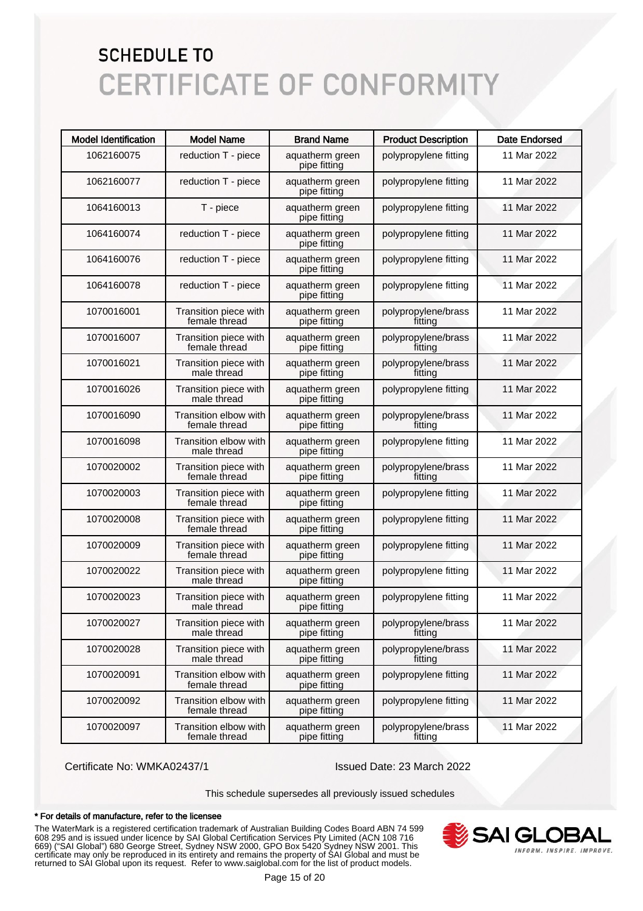| <b>Model Identification</b> | <b>Model Name</b>                      | <b>Brand Name</b>               | <b>Product Description</b>     | <b>Date Endorsed</b> |
|-----------------------------|----------------------------------------|---------------------------------|--------------------------------|----------------------|
| 1062160075                  | reduction T - piece                    | aquatherm green<br>pipe fitting | polypropylene fitting          | 11 Mar 2022          |
| 1062160077                  | reduction T - piece                    | aquatherm green<br>pipe fitting | polypropylene fitting          | 11 Mar 2022          |
| 1064160013                  | T - piece                              | aquatherm green<br>pipe fitting | polypropylene fitting          | 11 Mar 2022          |
| 1064160074                  | reduction T - piece                    | aquatherm green<br>pipe fitting | polypropylene fitting          | 11 Mar 2022          |
| 1064160076                  | reduction T - piece                    | aquatherm green<br>pipe fitting | polypropylene fitting          | 11 Mar 2022          |
| 1064160078                  | reduction T - piece                    | aquatherm green<br>pipe fitting | polypropylene fitting          | 11 Mar 2022          |
| 1070016001                  | Transition piece with<br>female thread | aquatherm green<br>pipe fitting | polypropylene/brass<br>fitting | 11 Mar 2022          |
| 1070016007                  | Transition piece with<br>female thread | aquatherm green<br>pipe fitting | polypropylene/brass<br>fitting | 11 Mar 2022          |
| 1070016021                  | Transition piece with<br>male thread   | aquatherm green<br>pipe fitting | polypropylene/brass<br>fitting | 11 Mar 2022          |
| 1070016026                  | Transition piece with<br>male thread   | aquatherm green<br>pipe fitting | polypropylene fitting          | 11 Mar 2022          |
| 1070016090                  | Transition elbow with<br>female thread | aquatherm green<br>pipe fitting | polypropylene/brass<br>fitting | 11 Mar 2022          |
| 1070016098                  | Transition elbow with<br>male thread   | aquatherm green<br>pipe fitting | polypropylene fitting          | 11 Mar 2022          |
| 1070020002                  | Transition piece with<br>female thread | aquatherm green<br>pipe fitting | polypropylene/brass<br>fitting | 11 Mar 2022          |
| 1070020003                  | Transition piece with<br>female thread | aquatherm green<br>pipe fitting | polypropylene fitting          | 11 Mar 2022          |
| 1070020008                  | Transition piece with<br>female thread | aquatherm green<br>pipe fitting | polypropylene fitting          | 11 Mar 2022          |
| 1070020009                  | Transition piece with<br>female thread | aquatherm green<br>pipe fitting | polypropylene fitting          | 11 Mar 2022          |
| 1070020022                  | Transition piece with<br>male thread   | aquatherm green<br>pipe fitting | polypropylene fitting          | 11 Mar 2022          |
| 1070020023                  | Transition piece with<br>male thread   | aquatherm green<br>pipe fitting | polypropylene fitting          | 11 Mar 2022          |
| 1070020027                  | Transition piece with<br>male thread   | aquatherm green<br>pipe fitting | polypropylene/brass<br>fitting | 11 Mar 2022          |
| 1070020028                  | Transition piece with<br>male thread   | aquatherm green<br>pipe fitting | polypropylene/brass<br>fitting | 11 Mar 2022          |
| 1070020091                  | Transition elbow with<br>female thread | aquatherm green<br>pipe fitting | polypropylene fitting          | 11 Mar 2022          |
| 1070020092                  | Transition elbow with<br>female thread | aquatherm green<br>pipe fitting | polypropylene fitting          | 11 Mar 2022          |
| 1070020097                  | Transition elbow with<br>female thread | aquatherm green<br>pipe fitting | polypropylene/brass<br>fitting | 11 Mar 2022          |

Certificate No: WMKA02437/1 Issued Date: 23 March 2022

This schedule supersedes all previously issued schedules

#### \* For details of manufacture, refer to the licensee

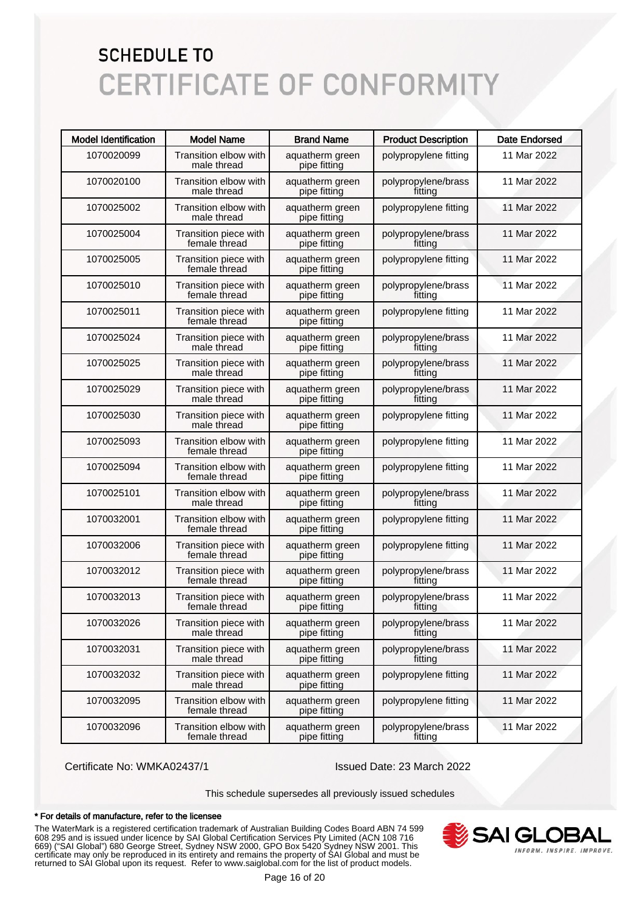| <b>Model Identification</b> | <b>Model Name</b>                      | <b>Brand Name</b>               | <b>Product Description</b>     | <b>Date Endorsed</b> |
|-----------------------------|----------------------------------------|---------------------------------|--------------------------------|----------------------|
| 1070020099                  | Transition elbow with<br>male thread   | aquatherm green<br>pipe fitting | polypropylene fitting          | 11 Mar 2022          |
| 1070020100                  | Transition elbow with<br>male thread   | aquatherm green<br>pipe fitting | polypropylene/brass<br>fitting | 11 Mar 2022          |
| 1070025002                  | Transition elbow with<br>male thread   | aquatherm green<br>pipe fitting | polypropylene fitting          | 11 Mar 2022          |
| 1070025004                  | Transition piece with<br>female thread | aquatherm green<br>pipe fitting | polypropylene/brass<br>fitting | 11 Mar 2022          |
| 1070025005                  | Transition piece with<br>female thread | aquatherm green<br>pipe fitting | polypropylene fitting          | 11 Mar 2022          |
| 1070025010                  | Transition piece with<br>female thread | aquatherm green<br>pipe fitting | polypropylene/brass<br>fitting | 11 Mar 2022          |
| 1070025011                  | Transition piece with<br>female thread | aquatherm green<br>pipe fitting | polypropylene fitting          | 11 Mar 2022          |
| 1070025024                  | Transition piece with<br>male thread   | aquatherm green<br>pipe fitting | polypropylene/brass<br>fitting | 11 Mar 2022          |
| 1070025025                  | Transition piece with<br>male thread   | aquatherm green<br>pipe fitting | polypropylene/brass<br>fitting | 11 Mar 2022          |
| 1070025029                  | Transition piece with<br>male thread   | aquatherm green<br>pipe fitting | polypropylene/brass<br>fitting | 11 Mar 2022          |
| 1070025030                  | Transition piece with<br>male thread   | aquatherm green<br>pipe fitting | polypropylene fitting          | 11 Mar 2022          |
| 1070025093                  | Transition elbow with<br>female thread | aquatherm green<br>pipe fitting | polypropylene fitting          | 11 Mar 2022          |
| 1070025094                  | Transition elbow with<br>female thread | aquatherm green<br>pipe fitting | polypropylene fitting          | 11 Mar 2022          |
| 1070025101                  | Transition elbow with<br>male thread   | aquatherm green<br>pipe fitting | polypropylene/brass<br>fitting | 11 Mar 2022          |
| 1070032001                  | Transition elbow with<br>female thread | aquatherm green<br>pipe fitting | polypropylene fitting          | 11 Mar 2022          |
| 1070032006                  | Transition piece with<br>female thread | aquatherm green<br>pipe fitting | polypropylene fitting          | 11 Mar 2022          |
| 1070032012                  | Transition piece with<br>female thread | aquatherm green<br>pipe fitting | polypropylene/brass<br>fitting | 11 Mar 2022          |
| 1070032013                  | Transition piece with<br>female thread | aquatherm green<br>pipe fitting | polypropylene/brass<br>fitting | 11 Mar 2022          |
| 1070032026                  | Transition piece with<br>male thread   | aquatherm green<br>pipe fitting | polypropylene/brass<br>fittina | 11 Mar 2022          |
| 1070032031                  | Transition piece with<br>male thread   | aquatherm green<br>pipe fitting | polypropylene/brass<br>fitting | 11 Mar 2022          |
| 1070032032                  | Transition piece with<br>male thread   | aquatherm green<br>pipe fitting | polypropylene fitting          | 11 Mar 2022          |
| 1070032095                  | Transition elbow with<br>female thread | aquatherm green<br>pipe fitting | polypropylene fitting          | 11 Mar 2022          |
| 1070032096                  | Transition elbow with<br>female thread | aquatherm green<br>pipe fitting | polypropylene/brass<br>fitting | 11 Mar 2022          |

Certificate No: WMKA02437/1 Issued Date: 23 March 2022

This schedule supersedes all previously issued schedules

#### \* For details of manufacture, refer to the licensee

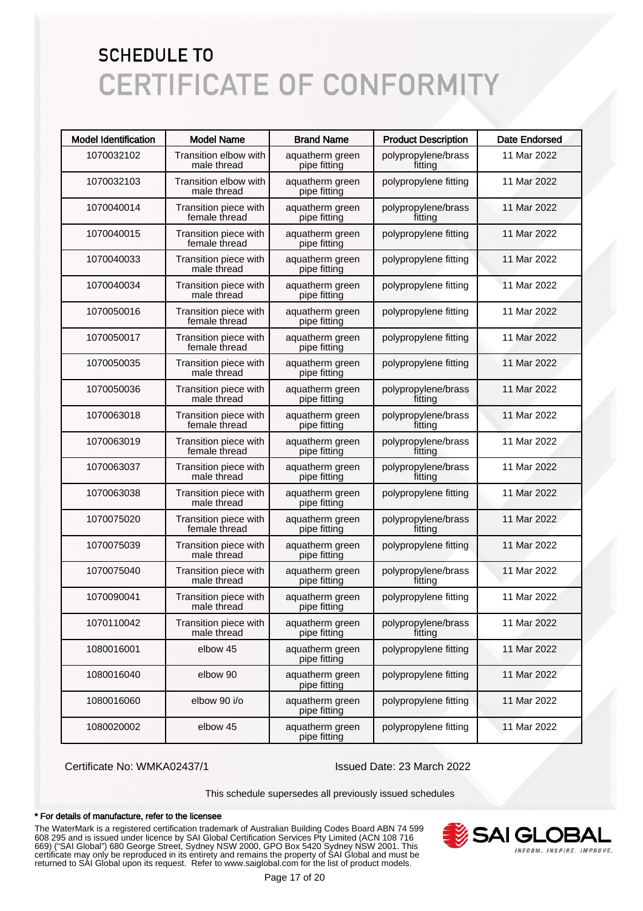| <b>Model Identification</b> | <b>Model Name</b>                      | <b>Brand Name</b>               | <b>Product Description</b>     | <b>Date Endorsed</b> |
|-----------------------------|----------------------------------------|---------------------------------|--------------------------------|----------------------|
| 1070032102                  | Transition elbow with<br>male thread   | aquatherm green<br>pipe fitting | polypropylene/brass<br>fitting | 11 Mar 2022          |
| 1070032103                  | Transition elbow with<br>male thread   | aquatherm green<br>pipe fitting | polypropylene fitting          | 11 Mar 2022          |
| 1070040014                  | Transition piece with<br>female thread | aquatherm green<br>pipe fitting | polypropylene/brass<br>fitting | 11 Mar 2022          |
| 1070040015                  | Transition piece with<br>female thread | aquatherm green<br>pipe fitting | polypropylene fitting          | 11 Mar 2022          |
| 1070040033                  | Transition piece with<br>male thread   | aquatherm green<br>pipe fitting | polypropylene fitting          | 11 Mar 2022          |
| 1070040034                  | Transition piece with<br>male thread   | aquatherm green<br>pipe fitting | polypropylene fitting          | 11 Mar 2022          |
| 1070050016                  | Transition piece with<br>female thread | aquatherm green<br>pipe fitting | polypropylene fitting          | 11 Mar 2022          |
| 1070050017                  | Transition piece with<br>female thread | aquatherm green<br>pipe fitting | polypropylene fitting          | 11 Mar 2022          |
| 1070050035                  | Transition piece with<br>male thread   | aquatherm green<br>pipe fitting | polypropylene fitting          | 11 Mar 2022          |
| 1070050036                  | Transition piece with<br>male thread   | aquatherm green<br>pipe fitting | polypropylene/brass<br>fitting | 11 Mar 2022          |
| 1070063018                  | Transition piece with<br>female thread | aquatherm green<br>pipe fitting | polypropylene/brass<br>fitting | 11 Mar 2022          |
| 1070063019                  | Transition piece with<br>female thread | aquatherm green<br>pipe fitting | polypropylene/brass<br>fitting | 11 Mar 2022          |
| 1070063037                  | Transition piece with<br>male thread   | aquatherm green<br>pipe fitting | polypropylene/brass<br>fitting | 11 Mar 2022          |
| 1070063038                  | Transition piece with<br>male thread   | aquatherm green<br>pipe fitting | polypropylene fitting          | 11 Mar 2022          |
| 1070075020                  | Transition piece with<br>female thread | aquatherm green<br>pipe fitting | polypropylene/brass<br>fitting | 11 Mar 2022          |
| 1070075039                  | Transition piece with<br>male thread   | aquatherm green<br>pipe fitting | polypropylene fitting          | 11 Mar 2022          |
| 1070075040                  | Transition piece with<br>male thread   | aquatherm green<br>pipe fitting | polypropylene/brass<br>fitting | 11 Mar 2022          |
| 1070090041                  | Transition piece with<br>male thread   | aquatherm green<br>pipe fitting | polypropylene fitting          | 11 Mar 2022          |
| 1070110042                  | Transition piece with<br>male thread   | aquatherm green<br>pipe fitting | polypropylene/brass<br>fitting | 11 Mar 2022          |
| 1080016001                  | elbow 45                               | aquatherm green<br>pipe fitting | polypropylene fitting          | 11 Mar 2022          |
| 1080016040                  | elbow 90                               | aquatherm green<br>pipe fitting | polypropylene fitting          | 11 Mar 2022          |
| 1080016060                  | elbow 90 i/o                           | aquatherm green<br>pipe fitting | polypropylene fitting          | 11 Mar 2022          |
| 1080020002                  | elbow 45                               | aquatherm green<br>pipe fitting | polypropylene fitting          | 11 Mar 2022          |

Certificate No: WMKA02437/1 Issued Date: 23 March 2022

This schedule supersedes all previously issued schedules

#### \* For details of manufacture, refer to the licensee

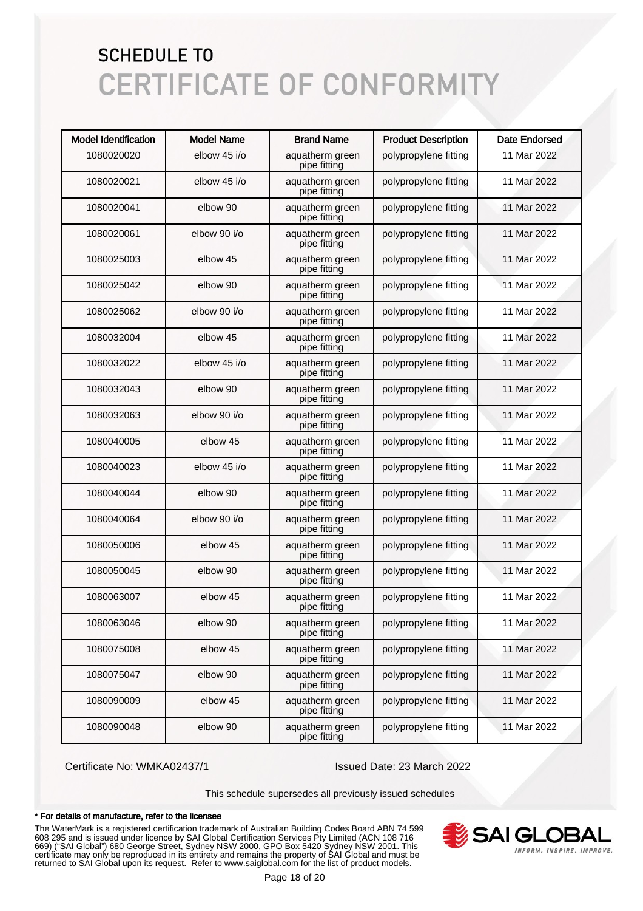| <b>Model Identification</b> | <b>Model Name</b> | <b>Brand Name</b>               | <b>Product Description</b> | <b>Date Endorsed</b> |
|-----------------------------|-------------------|---------------------------------|----------------------------|----------------------|
| 1080020020                  | elbow 45 i/o      | aquatherm green<br>pipe fitting | polypropylene fitting      | 11 Mar 2022          |
| 1080020021                  | elbow 45 i/o      | aquatherm green<br>pipe fitting | polypropylene fitting      | 11 Mar 2022          |
| 1080020041                  | elbow 90          | aquatherm green<br>pipe fitting | polypropylene fitting      | 11 Mar 2022          |
| 1080020061                  | elbow 90 i/o      | aquatherm green<br>pipe fitting | polypropylene fitting      | 11 Mar 2022          |
| 1080025003                  | elbow 45          | aquatherm green<br>pipe fitting | polypropylene fitting      | 11 Mar 2022          |
| 1080025042                  | elbow 90          | aquatherm green<br>pipe fitting | polypropylene fitting      | 11 Mar 2022          |
| 1080025062                  | elbow 90 i/o      | aquatherm green<br>pipe fitting | polypropylene fitting      | 11 Mar 2022          |
| 1080032004                  | elbow 45          | aquatherm green<br>pipe fitting | polypropylene fitting      | 11 Mar 2022          |
| 1080032022                  | elbow 45 i/o      | aquatherm green<br>pipe fitting | polypropylene fitting      | 11 Mar 2022          |
| 1080032043                  | elbow 90          | aquatherm green<br>pipe fitting | polypropylene fitting      | 11 Mar 2022          |
| 1080032063                  | elbow 90 i/o      | aquatherm green<br>pipe fitting | polypropylene fitting      | 11 Mar 2022          |
| 1080040005                  | elbow 45          | aquatherm green<br>pipe fitting | polypropylene fitting      | 11 Mar 2022          |
| 1080040023                  | elbow 45 i/o      | aquatherm green<br>pipe fitting | polypropylene fitting      | 11 Mar 2022          |
| 1080040044                  | elbow 90          | aquatherm green<br>pipe fitting | polypropylene fitting      | 11 Mar 2022          |
| 1080040064                  | elbow 90 i/o      | aquatherm green<br>pipe fitting | polypropylene fitting      | 11 Mar 2022          |
| 1080050006                  | elbow 45          | aquatherm green<br>pipe fitting | polypropylene fitting      | 11 Mar 2022          |
| 1080050045                  | elbow 90          | aquatherm green<br>pipe fitting | polypropylene fitting      | 11 Mar 2022          |
| 1080063007                  | elbow 45          | aquatherm green<br>pipe fitting | polypropylene fitting      | 11 Mar 2022          |
| 1080063046                  | elbow 90          | aquatherm green<br>pipe fitting | polypropylene fitting      | 11 Mar 2022          |
| 1080075008                  | elbow 45          | aquatherm green<br>pipe fitting | polypropylene fitting      | 11 Mar 2022          |
| 1080075047                  | elbow 90          | aquatherm green<br>pipe fitting | polypropylene fitting      | 11 Mar 2022          |
| 1080090009                  | elbow 45          | aquatherm green<br>pipe fitting | polypropylene fitting      | 11 Mar 2022          |
| 1080090048                  | elbow 90          | aquatherm green<br>pipe fitting | polypropylene fitting      | 11 Mar 2022          |

Certificate No: WMKA02437/1 Issued Date: 23 March 2022

This schedule supersedes all previously issued schedules

#### \* For details of manufacture, refer to the licensee

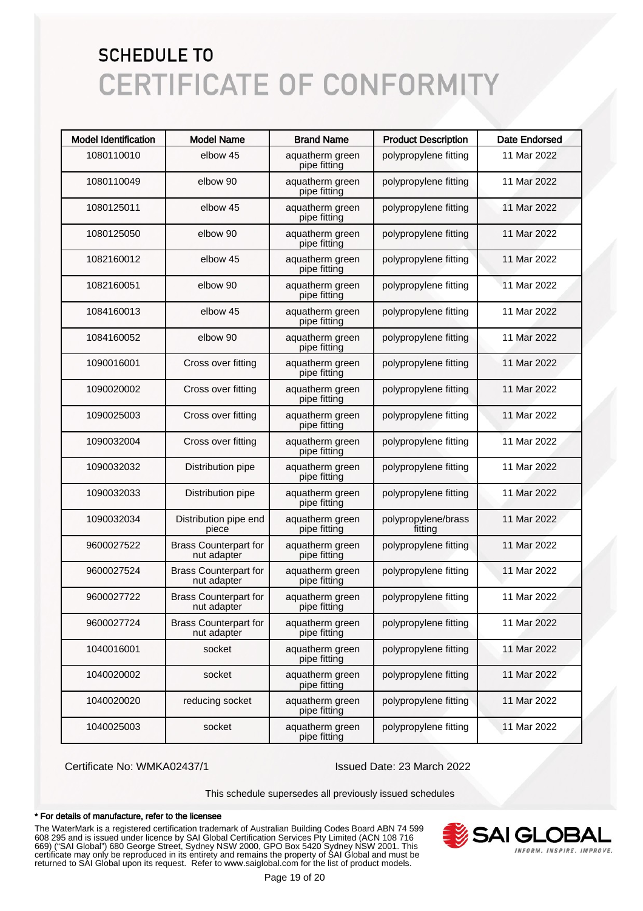| <b>Model Identification</b> | <b>Model Name</b>                           | <b>Brand Name</b>               | <b>Product Description</b>     | <b>Date Endorsed</b> |
|-----------------------------|---------------------------------------------|---------------------------------|--------------------------------|----------------------|
| 1080110010                  | elbow 45                                    | aquatherm green<br>pipe fitting | polypropylene fitting          | 11 Mar 2022          |
| 1080110049                  | elbow 90                                    | aquatherm green<br>pipe fitting | polypropylene fitting          | 11 Mar 2022          |
| 1080125011                  | elbow 45                                    | aquatherm green<br>pipe fitting | polypropylene fitting          | 11 Mar 2022          |
| 1080125050                  | elbow 90                                    | aquatherm green<br>pipe fitting | polypropylene fitting          | 11 Mar 2022          |
| 1082160012                  | elbow 45                                    | aquatherm green<br>pipe fitting | polypropylene fitting          | 11 Mar 2022          |
| 1082160051                  | elbow 90                                    | aquatherm green<br>pipe fitting | polypropylene fitting          | 11 Mar 2022          |
| 1084160013                  | elbow 45                                    | aquatherm green<br>pipe fitting | polypropylene fitting          | 11 Mar 2022          |
| 1084160052                  | elbow 90                                    | aquatherm green<br>pipe fitting | polypropylene fitting          | 11 Mar 2022          |
| 1090016001                  | Cross over fitting                          | aquatherm green<br>pipe fitting | polypropylene fitting          | 11 Mar 2022          |
| 1090020002                  | Cross over fitting                          | aquatherm green<br>pipe fitting | polypropylene fitting          | 11 Mar 2022          |
| 1090025003                  | Cross over fitting                          | aquatherm green<br>pipe fitting | polypropylene fitting          | 11 Mar 2022          |
| 1090032004                  | Cross over fitting                          | aquatherm green<br>pipe fitting | polypropylene fitting          | 11 Mar 2022          |
| 1090032032                  | Distribution pipe                           | aquatherm green<br>pipe fitting | polypropylene fitting          | 11 Mar 2022          |
| 1090032033                  | Distribution pipe                           | aquatherm green<br>pipe fitting | polypropylene fitting          | 11 Mar 2022          |
| 1090032034                  | Distribution pipe end<br>piece              | aquatherm green<br>pipe fitting | polypropylene/brass<br>fitting | 11 Mar 2022          |
| 9600027522                  | <b>Brass Counterpart for</b><br>nut adapter | aquatherm green<br>pipe fitting | polypropylene fitting          | 11 Mar 2022          |
| 9600027524                  | <b>Brass Counterpart for</b><br>nut adapter | aquatherm green<br>pipe fitting | polypropylene fitting          | 11 Mar 2022          |
| 9600027722                  | <b>Brass Counterpart for</b><br>nut adapter | aquatherm green<br>pipe fitting | polypropylene fitting          | 11 Mar 2022          |
| 9600027724                  | <b>Brass Counterpart for</b><br>nut adapter | aquatherm green<br>pipe fitting | polypropylene fitting          | 11 Mar 2022          |
| 1040016001                  | socket                                      | aquatherm green<br>pipe fitting | polypropylene fitting          | 11 Mar 2022          |
| 1040020002                  | socket                                      | aquatherm green<br>pipe fitting | polypropylene fitting          | 11 Mar 2022          |
| 1040020020                  | reducing socket                             | aquatherm green<br>pipe fitting | polypropylene fitting          | 11 Mar 2022          |
| 1040025003                  | socket                                      | aquatherm green<br>pipe fitting | polypropylene fitting          | 11 Mar 2022          |

Certificate No: WMKA02437/1 Issued Date: 23 March 2022

This schedule supersedes all previously issued schedules

#### \* For details of manufacture, refer to the licensee